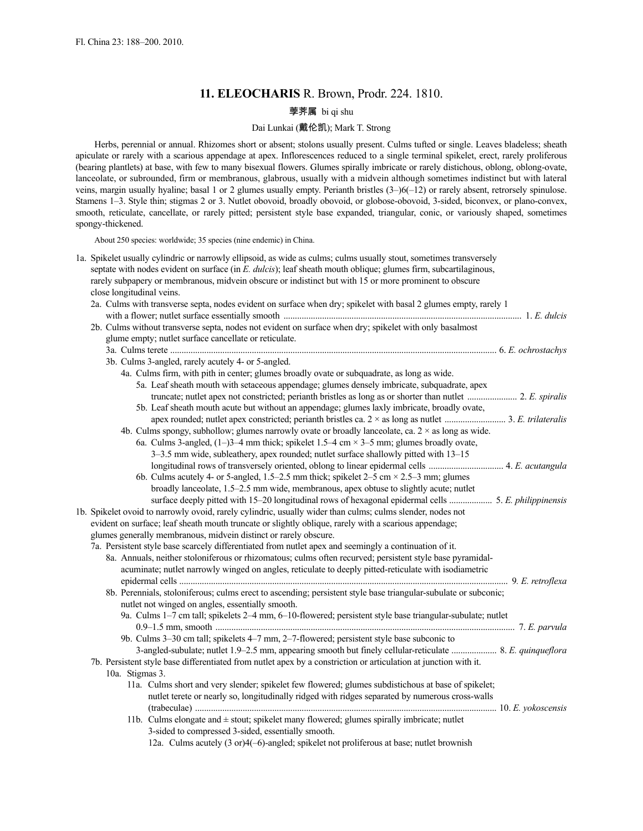# **11. ELEOCHARIS** R. Brown, Prodr. 224. 1810.

# 荸荠属 bi qi shu

# Dai Lunkai (戴伦凯); Mark T. Strong

Herbs, perennial or annual. Rhizomes short or absent; stolons usually present. Culms tufted or single. Leaves bladeless; sheath apiculate or rarely with a scarious appendage at apex. Inflorescences reduced to a single terminal spikelet, erect, rarely proliferous (bearing plantlets) at base, with few to many bisexual flowers. Glumes spirally imbricate or rarely distichous, oblong, oblong-ovate, lanceolate, or subrounded, firm or membranous, glabrous, usually with a midvein although sometimes indistinct but with lateral veins, margin usually hyaline; basal 1 or 2 glumes usually empty. Perianth bristles (3–)6(–12) or rarely absent, retrorsely spinulose. Stamens 1–3. Style thin; stigmas 2 or 3. Nutlet obovoid, broadly obovoid, or globose-obovoid, 3-sided, biconvex, or plano-convex, smooth, reticulate, cancellate, or rarely pitted; persistent style base expanded, triangular, conic, or variously shaped, sometimes spongy-thickened.

About 250 species: worldwide; 35 species (nine endemic) in China.

|  | 1a. Spikelet usually cylindric or narrowly ellipsoid, as wide as culms; culms usually stout, sometimes transversely<br>septate with nodes evident on surface (in $E$ , <i>dulcis</i> ); leaf sheath mouth oblique; glumes firm, subcartilaginous, |
|--|---------------------------------------------------------------------------------------------------------------------------------------------------------------------------------------------------------------------------------------------------|
|  | rarely subpapery or membranous, midvein obscure or indistinct but with 15 or more prominent to obscure                                                                                                                                            |
|  | close longitudinal veins.                                                                                                                                                                                                                         |
|  | 2a. Culms with transverse septa, nodes evident on surface when dry; spikelet with basal 2 glumes empty, rarely 1                                                                                                                                  |
|  |                                                                                                                                                                                                                                                   |
|  | 2b. Culms without transverse septa, nodes not evident on surface when dry; spikelet with only basalmost                                                                                                                                           |
|  | glume empty; nutlet surface cancellate or reticulate.                                                                                                                                                                                             |
|  |                                                                                                                                                                                                                                                   |
|  | 3b. Culms 3-angled, rarely acutely 4- or 5-angled.                                                                                                                                                                                                |
|  | 4a. Culms firm, with pith in center; glumes broadly ovate or subquadrate, as long as wide.                                                                                                                                                        |
|  | 5a. Leaf sheath mouth with setaceous appendage; glumes densely imbricate, subquadrate, apex                                                                                                                                                       |
|  |                                                                                                                                                                                                                                                   |
|  | 5b. Leaf sheath mouth acute but without an appendage; glumes laxly imbricate, broadly ovate,                                                                                                                                                      |
|  |                                                                                                                                                                                                                                                   |
|  | 4b. Culms spongy, subhollow; glumes narrowly ovate or broadly lanceolate, ca. $2 \times$ as long as wide.                                                                                                                                         |
|  | 6a. Culms 3-angled, $(1-)3-4$ mm thick; spikelet 1.5-4 cm $\times$ 3-5 mm; glumes broadly ovate,                                                                                                                                                  |
|  | 3-3.5 mm wide, subleathery, apex rounded; nutlet surface shallowly pitted with 13-15                                                                                                                                                              |
|  |                                                                                                                                                                                                                                                   |
|  | 6b. Culms acutely 4- or 5-angled, 1.5–2.5 mm thick; spikelet $2-5$ cm $\times$ 2.5–3 mm; glumes                                                                                                                                                   |
|  | broadly lanceolate, 1.5-2.5 mm wide, membranous, apex obtuse to slightly acute; nutlet                                                                                                                                                            |
|  |                                                                                                                                                                                                                                                   |
|  | 1b. Spikelet ovoid to narrowly ovoid, rarely cylindric, usually wider than culms; culms slender, nodes not                                                                                                                                        |
|  | evident on surface; leaf sheath mouth truncate or slightly oblique, rarely with a scarious appendage;                                                                                                                                             |
|  | glumes generally membranous, midvein distinct or rarely obscure.                                                                                                                                                                                  |
|  | 7a. Persistent style base scarcely differentiated from nutlet apex and seemingly a continuation of it.                                                                                                                                            |
|  | 8a. Annuals, neither stoloniferous or rhizomatous; culms often recurved; persistent style base pyramidal-                                                                                                                                         |
|  | acuminate; nutlet narrowly winged on angles, reticulate to deeply pitted-reticulate with isodiametric                                                                                                                                             |
|  |                                                                                                                                                                                                                                                   |
|  | 8b. Perennials, stoloniferous; culms erect to ascending; persistent style base triangular-subulate or subconic;                                                                                                                                   |
|  | nutlet not winged on angles, essentially smooth.                                                                                                                                                                                                  |
|  | 9a. Culms 1-7 cm tall; spikelets 2-4 mm, 6-10-flowered; persistent style base triangular-subulate; nutlet                                                                                                                                         |
|  |                                                                                                                                                                                                                                                   |
|  | 9b. Culms 3-30 cm tall; spikelets 4-7 mm, 2-7-flowered; persistent style base subconic to                                                                                                                                                         |
|  | 3-angled-subulate; nutlet 1.9-2.5 mm, appearing smooth but finely cellular-reticulate  8. E. quinqueflora                                                                                                                                         |
|  | 7b. Persistent style base differentiated from nutlet apex by a constriction or articulation at junction with it.                                                                                                                                  |
|  | 10a. Stigmas 3.                                                                                                                                                                                                                                   |
|  | 11a. Culms short and very slender; spikelet few flowered; glumes subdistichous at base of spikelet;                                                                                                                                               |
|  | nutlet terete or nearly so, longitudinally ridged with ridges separated by numerous cross-walls                                                                                                                                                   |
|  |                                                                                                                                                                                                                                                   |
|  | 11b. Culms elongate and $\pm$ stout; spikelet many flowered; glumes spirally imbricate; nutlet                                                                                                                                                    |
|  | 3-sided to compressed 3-sided, essentially smooth.                                                                                                                                                                                                |
|  | 12a. Culms acutely (3 or)4(-6)-angled; spikelet not proliferous at base; nutlet brownish                                                                                                                                                          |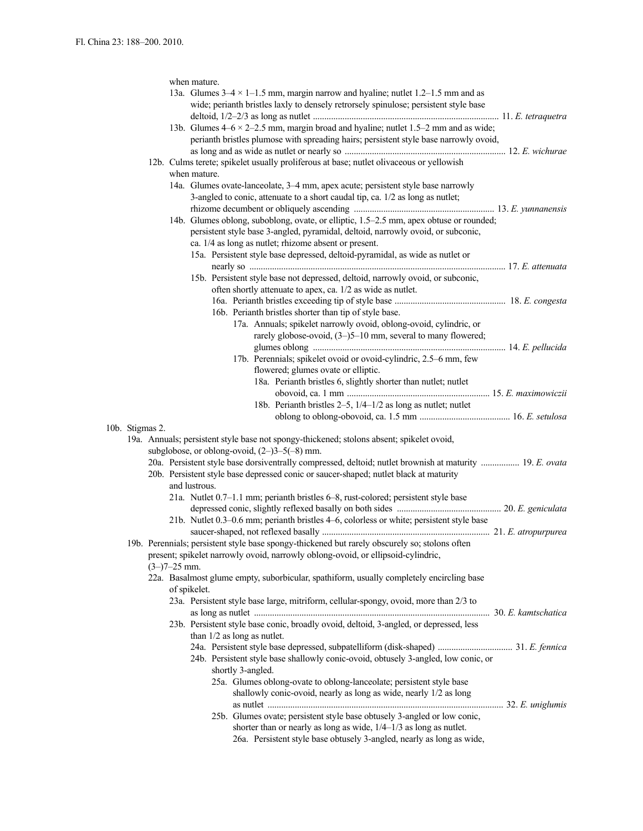|  |                                                                                                              |                                                                                                          |                | when mature.  |                                                                                                                                               |  |  |  |
|--|--------------------------------------------------------------------------------------------------------------|----------------------------------------------------------------------------------------------------------|----------------|---------------|-----------------------------------------------------------------------------------------------------------------------------------------------|--|--|--|
|  |                                                                                                              |                                                                                                          |                |               | 13a. Glumes $3-4 \times 1-1.5$ mm, margin narrow and hyaline; nutlet 1.2-1.5 mm and as                                                        |  |  |  |
|  |                                                                                                              |                                                                                                          |                |               | wide; perianth bristles laxly to densely retrorsely spinulose; persistent style base                                                          |  |  |  |
|  |                                                                                                              |                                                                                                          |                |               |                                                                                                                                               |  |  |  |
|  |                                                                                                              |                                                                                                          |                |               | 13b. Glumes $4-6 \times 2-2.5$ mm, margin broad and hyaline; nutlet 1.5-2 mm and as wide;                                                     |  |  |  |
|  |                                                                                                              |                                                                                                          |                |               | perianth bristles plumose with spreading hairs; persistent style base narrowly ovoid,                                                         |  |  |  |
|  |                                                                                                              |                                                                                                          |                |               |                                                                                                                                               |  |  |  |
|  |                                                                                                              |                                                                                                          |                |               | 12b. Culms terete; spikelet usually proliferous at base; nutlet olivaceous or yellowish                                                       |  |  |  |
|  |                                                                                                              |                                                                                                          |                | when mature.  |                                                                                                                                               |  |  |  |
|  |                                                                                                              |                                                                                                          |                |               |                                                                                                                                               |  |  |  |
|  |                                                                                                              |                                                                                                          |                |               | 14a. Glumes ovate-lanceolate, 3-4 mm, apex acute; persistent style base narrowly                                                              |  |  |  |
|  |                                                                                                              |                                                                                                          |                |               | 3-angled to conic, attenuate to a short caudal tip, ca. 1/2 as long as nutlet;                                                                |  |  |  |
|  |                                                                                                              |                                                                                                          |                |               |                                                                                                                                               |  |  |  |
|  |                                                                                                              |                                                                                                          |                |               | 14b. Glumes oblong, suboblong, ovate, or elliptic, 1.5–2.5 mm, apex obtuse or rounded;                                                        |  |  |  |
|  |                                                                                                              |                                                                                                          |                |               | persistent style base 3-angled, pyramidal, deltoid, narrowly ovoid, or subconic,                                                              |  |  |  |
|  |                                                                                                              |                                                                                                          |                |               | ca. 1/4 as long as nutlet; rhizome absent or present.                                                                                         |  |  |  |
|  |                                                                                                              |                                                                                                          |                |               | 15a. Persistent style base depressed, deltoid-pyramidal, as wide as nutlet or                                                                 |  |  |  |
|  |                                                                                                              |                                                                                                          |                |               |                                                                                                                                               |  |  |  |
|  |                                                                                                              |                                                                                                          |                |               | 15b. Persistent style base not depressed, deltoid, narrowly ovoid, or subconic,                                                               |  |  |  |
|  |                                                                                                              |                                                                                                          |                |               | often shortly attenuate to apex, ca. 1/2 as wide as nutlet.                                                                                   |  |  |  |
|  |                                                                                                              |                                                                                                          |                |               |                                                                                                                                               |  |  |  |
|  |                                                                                                              |                                                                                                          |                |               |                                                                                                                                               |  |  |  |
|  |                                                                                                              |                                                                                                          |                |               | 16b. Perianth bristles shorter than tip of style base.                                                                                        |  |  |  |
|  |                                                                                                              |                                                                                                          |                |               | 17a. Annuals; spikelet narrowly ovoid, oblong-ovoid, cylindric, or                                                                            |  |  |  |
|  |                                                                                                              |                                                                                                          |                |               | rarely globose-ovoid, (3-)5-10 mm, several to many flowered;                                                                                  |  |  |  |
|  |                                                                                                              |                                                                                                          |                |               |                                                                                                                                               |  |  |  |
|  |                                                                                                              |                                                                                                          |                |               | 17b. Perennials; spikelet ovoid or ovoid-cylindric, 2.5–6 mm, few                                                                             |  |  |  |
|  |                                                                                                              |                                                                                                          |                |               | flowered; glumes ovate or elliptic.                                                                                                           |  |  |  |
|  |                                                                                                              |                                                                                                          |                |               | 18a. Perianth bristles 6, slightly shorter than nutlet; nutlet                                                                                |  |  |  |
|  |                                                                                                              |                                                                                                          |                |               |                                                                                                                                               |  |  |  |
|  |                                                                                                              |                                                                                                          |                |               | 18b. Perianth bristles 2–5, 1/4–1/2 as long as nutlet; nutlet                                                                                 |  |  |  |
|  |                                                                                                              |                                                                                                          |                |               |                                                                                                                                               |  |  |  |
|  |                                                                                                              |                                                                                                          |                |               |                                                                                                                                               |  |  |  |
|  | 10b. Stigmas 2.<br>19a. Annuals; persistent style base not spongy-thickened; stolons absent; spikelet ovoid, |                                                                                                          |                |               |                                                                                                                                               |  |  |  |
|  | subglobose, or oblong-ovoid, $(2-)3-5(-8)$ mm.                                                               |                                                                                                          |                |               |                                                                                                                                               |  |  |  |
|  |                                                                                                              |                                                                                                          |                |               |                                                                                                                                               |  |  |  |
|  |                                                                                                              | 20a. Persistent style base dorsiventrally compressed, deltoid; nutlet brownish at maturity  19. E. ovata |                |               |                                                                                                                                               |  |  |  |
|  |                                                                                                              | 20b. Persistent style base depressed conic or saucer-shaped; nutlet black at maturity                    |                |               |                                                                                                                                               |  |  |  |
|  |                                                                                                              |                                                                                                          |                | and lustrous. |                                                                                                                                               |  |  |  |
|  |                                                                                                              |                                                                                                          |                |               | 21a. Nutlet 0.7-1.1 mm; perianth bristles 6-8, rust-colored; persistent style base                                                            |  |  |  |
|  |                                                                                                              |                                                                                                          |                |               |                                                                                                                                               |  |  |  |
|  |                                                                                                              |                                                                                                          |                |               | 21b. Nutlet 0.3–0.6 mm; perianth bristles 4–6, colorless or white; persistent style base                                                      |  |  |  |
|  |                                                                                                              |                                                                                                          |                |               |                                                                                                                                               |  |  |  |
|  |                                                                                                              |                                                                                                          |                |               | 19b. Perennials; persistent style base spongy-thickened but rarely obscurely so; stolons often                                                |  |  |  |
|  |                                                                                                              |                                                                                                          |                |               | present; spikelet narrowly ovoid, narrowly oblong-ovoid, or ellipsoid-cylindric,                                                              |  |  |  |
|  |                                                                                                              |                                                                                                          | $(3-)7-25$ mm. |               |                                                                                                                                               |  |  |  |
|  |                                                                                                              |                                                                                                          |                |               | 22a. Basalmost glume empty, suborbicular, spathiform, usually completely encircling base                                                      |  |  |  |
|  |                                                                                                              |                                                                                                          |                | of spikelet.  |                                                                                                                                               |  |  |  |
|  |                                                                                                              |                                                                                                          |                |               | 23a. Persistent style base large, mitriform, cellular-spongy, ovoid, more than 2/3 to                                                         |  |  |  |
|  |                                                                                                              |                                                                                                          |                |               |                                                                                                                                               |  |  |  |
|  |                                                                                                              |                                                                                                          |                |               |                                                                                                                                               |  |  |  |
|  |                                                                                                              |                                                                                                          |                |               |                                                                                                                                               |  |  |  |
|  |                                                                                                              |                                                                                                          |                |               | 23b. Persistent style base conic, broadly ovoid, deltoid, 3-angled, or depressed, less                                                        |  |  |  |
|  |                                                                                                              |                                                                                                          |                |               | than $1/2$ as long as nutlet.                                                                                                                 |  |  |  |
|  |                                                                                                              |                                                                                                          |                |               |                                                                                                                                               |  |  |  |
|  |                                                                                                              |                                                                                                          |                |               | 24b. Persistent style base shallowly conic-ovoid, obtusely 3-angled, low conic, or                                                            |  |  |  |
|  |                                                                                                              |                                                                                                          |                |               | shortly 3-angled.                                                                                                                             |  |  |  |
|  |                                                                                                              |                                                                                                          |                |               | 25a. Glumes oblong-ovate to oblong-lanceolate; persistent style base                                                                          |  |  |  |
|  |                                                                                                              |                                                                                                          |                |               |                                                                                                                                               |  |  |  |
|  |                                                                                                              |                                                                                                          |                |               | shallowly conic-ovoid, nearly as long as wide, nearly 1/2 as long                                                                             |  |  |  |
|  |                                                                                                              |                                                                                                          |                |               |                                                                                                                                               |  |  |  |
|  |                                                                                                              |                                                                                                          |                |               | 25b. Glumes ovate; persistent style base obtusely 3-angled or low conic,                                                                      |  |  |  |
|  |                                                                                                              |                                                                                                          |                |               | shorter than or nearly as long as wide, $1/4-1/3$ as long as nutlet.<br>26a. Persistent style base obtusely 3-angled, nearly as long as wide, |  |  |  |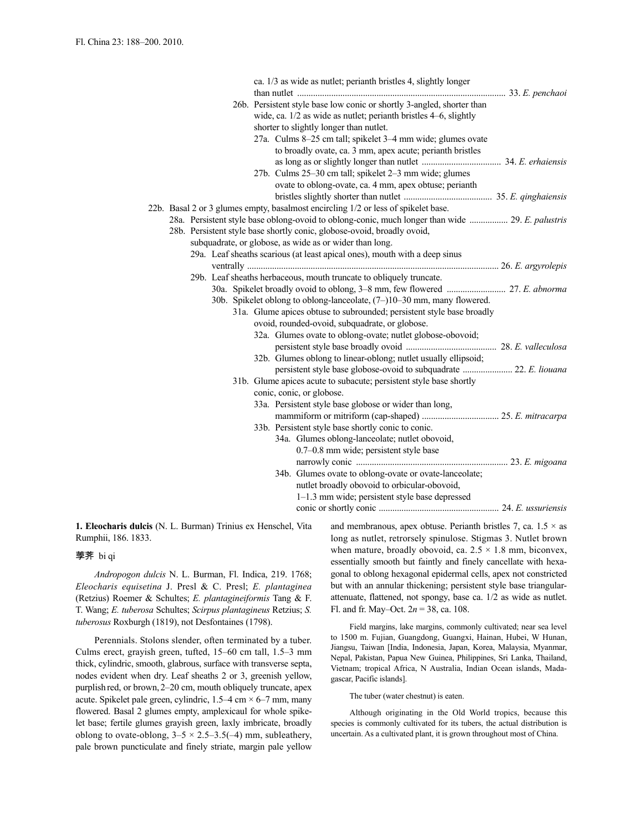|  |  |  |  | ca. 1/3 as wide as nutlet; perianth bristles 4, slightly longer                                  |  |
|--|--|--|--|--------------------------------------------------------------------------------------------------|--|
|  |  |  |  |                                                                                                  |  |
|  |  |  |  | 26b. Persistent style base low conic or shortly 3-angled, shorter than                           |  |
|  |  |  |  | wide, ca. $1/2$ as wide as nutlet; perianth bristles $4-6$ , slightly                            |  |
|  |  |  |  | shorter to slightly longer than nutlet.                                                          |  |
|  |  |  |  | 27a. Culms 8-25 cm tall; spikelet 3-4 mm wide; glumes ovate                                      |  |
|  |  |  |  | to broadly ovate, ca. 3 mm, apex acute; perianth bristles                                        |  |
|  |  |  |  |                                                                                                  |  |
|  |  |  |  | 27b. Culms 25-30 cm tall; spikelet 2-3 mm wide; glumes                                           |  |
|  |  |  |  | ovate to oblong-ovate, ca. 4 mm, apex obtuse; perianth                                           |  |
|  |  |  |  |                                                                                                  |  |
|  |  |  |  | 22b. Basal 2 or 3 glumes empty, basalmost encircling 1/2 or less of spikelet base.               |  |
|  |  |  |  | 28a. Persistent style base oblong-ovoid to oblong-conic, much longer than wide  29. E. palustris |  |
|  |  |  |  | 28b. Persistent style base shortly conic, globose-ovoid, broadly ovoid,                          |  |
|  |  |  |  | subquadrate, or globose, as wide as or wider than long.                                          |  |
|  |  |  |  | 29a. Leaf sheaths scarious (at least apical ones), mouth with a deep sinus                       |  |
|  |  |  |  |                                                                                                  |  |
|  |  |  |  | 29b. Leaf sheaths herbaceous, mouth truncate to obliquely truncate.                              |  |
|  |  |  |  |                                                                                                  |  |
|  |  |  |  | 30b. Spikelet oblong to oblong-lanceolate, (7-)10-30 mm, many flowered.                          |  |
|  |  |  |  | 31a. Glume apices obtuse to subrounded; persistent style base broadly                            |  |
|  |  |  |  | ovoid, rounded-ovoid, subquadrate, or globose.                                                   |  |
|  |  |  |  | 32a. Glumes ovate to oblong-ovate; nutlet globose-obovoid;                                       |  |
|  |  |  |  |                                                                                                  |  |
|  |  |  |  | 32b. Glumes oblong to linear-oblong; nutlet usually ellipsoid;                                   |  |
|  |  |  |  | persistent style base globose-ovoid to subquadrate  22. E. liouana                               |  |
|  |  |  |  | 31b. Glume apices acute to subacute; persistent style base shortly                               |  |
|  |  |  |  | conic, conic, or globose.                                                                        |  |
|  |  |  |  | 33a. Persistent style base globose or wider than long,                                           |  |
|  |  |  |  |                                                                                                  |  |
|  |  |  |  | 33b. Persistent style base shortly conic to conic.                                               |  |
|  |  |  |  | 34a. Glumes oblong-lanceolate; nutlet obovoid,                                                   |  |
|  |  |  |  | 0.7-0.8 mm wide; persistent style base                                                           |  |
|  |  |  |  |                                                                                                  |  |
|  |  |  |  | 34b. Glumes ovate to oblong-ovate or ovate-lanceolate;                                           |  |
|  |  |  |  | nutlet broadly obovoid to orbicular-obovoid,                                                     |  |
|  |  |  |  | 1-1.3 mm wide; persistent style base depressed                                                   |  |
|  |  |  |  |                                                                                                  |  |

**1. Eleocharis dulcis** (N. L. Burman) Trinius ex Henschel, Vita Rumphii, 186. 1833.

#### 荸荠 bi qi

*Andropogon dulcis* N. L. Burman, Fl. Indica, 219. 1768; *Eleocharis equisetina* J. Presl & C. Presl; *E. plantaginea* (Retzius) Roemer & Schultes; *E. plantagineiformis* Tang & F. T. Wang; *E. tuberosa* Schultes; *Scirpus plantagineus* Retzius; *S. tuberosus* Roxburgh (1819), not Desfontaines (1798).

Perennials. Stolons slender, often terminated by a tuber. Culms erect, grayish green, tufted, 15–60 cm tall, 1.5–3 mm thick, cylindric, smooth, glabrous, surface with transverse septa, nodes evident when dry. Leaf sheaths 2 or 3, greenish yellow, purplish red, or brown, 2–20 cm, mouth obliquely truncate, apex acute. Spikelet pale green, cylindric,  $1.5-4$  cm  $\times$  6-7 mm, many flowered. Basal 2 glumes empty, amplexicaul for whole spikelet base; fertile glumes grayish green, laxly imbricate, broadly oblong to ovate-oblong,  $3-5 \times 2.5-3.5(-4)$  mm, subleathery, pale brown puncticulate and finely striate, margin pale yellow and membranous, apex obtuse. Perianth bristles 7, ca.  $1.5 \times$  as long as nutlet, retrorsely spinulose. Stigmas 3. Nutlet brown when mature, broadly obovoid, ca.  $2.5 \times 1.8$  mm, biconvex, essentially smooth but faintly and finely cancellate with hexagonal to oblong hexagonal epidermal cells, apex not constricted but with an annular thickening; persistent style base triangularattenuate, flattened, not spongy, base ca. 1/2 as wide as nutlet. Fl. and fr. May–Oct. 2*n* = 38, ca. 108.

Field margins, lake margins, commonly cultivated; near sea level to 1500 m. Fujian, Guangdong, Guangxi, Hainan, Hubei, W Hunan, Jiangsu, Taiwan [India, Indonesia, Japan, Korea, Malaysia, Myanmar, Nepal, Pakistan, Papua New Guinea, Philippines, Sri Lanka, Thailand, Vietnam; tropical Africa, N Australia, Indian Ocean islands, Madagascar, Pacific islands].

The tuber (water chestnut) is eaten.

Although originating in the Old World tropics, because this species is commonly cultivated for its tubers, the actual distribution is uncertain. As a cultivated plant, it is grown throughout most of China.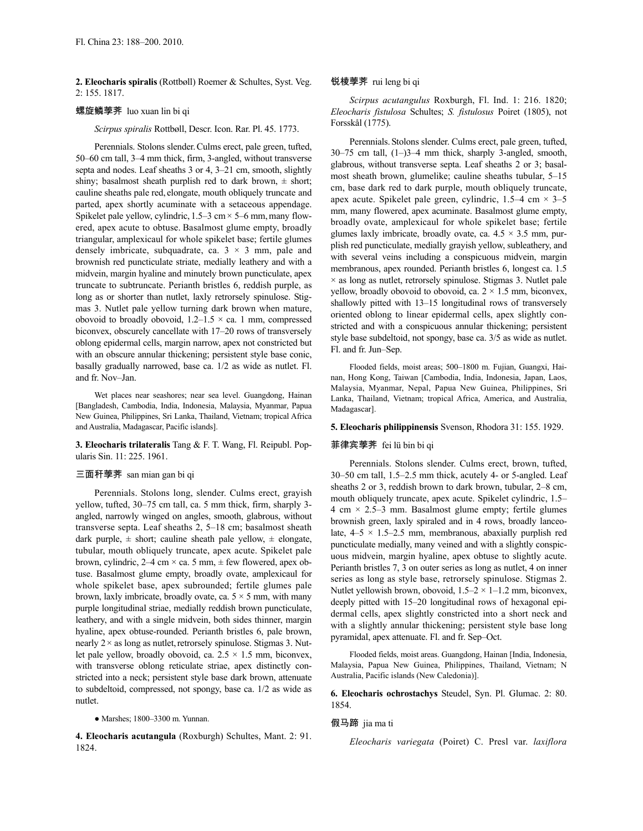**2. Eleocharis spiralis** (Rottbøll) Roemer & Schultes, Syst. Veg. 2: 155. 1817.

## 螺旋鳞荸荠 luo xuan lin bi qi

*Scirpus spiralis* Rottbøll, Descr. Icon. Rar. Pl. 45. 1773.

Perennials. Stolons slender.Culms erect, pale green, tufted, 50–60 cm tall, 3–4 mm thick, firm, 3-angled, without transverse septa and nodes. Leaf sheaths 3 or 4, 3–21 cm, smooth, slightly shiny; basalmost sheath purplish red to dark brown,  $\pm$  short; cauline sheaths pale red, elongate, mouth obliquely truncate and parted, apex shortly acuminate with a setaceous appendage. Spikelet pale yellow, cylindric,  $1.5-3$  cm  $\times$  5–6 mm, many flowered, apex acute to obtuse. Basalmost glume empty, broadly triangular, amplexicaul for whole spikelet base; fertile glumes densely imbricate, subquadrate, ca.  $3 \times 3$  mm, pale and brownish red puncticulate striate, medially leathery and with a midvein, margin hyaline and minutely brown puncticulate, apex truncate to subtruncate. Perianth bristles 6, reddish purple, as long as or shorter than nutlet, laxly retrorsely spinulose. Stigmas 3. Nutlet pale yellow turning dark brown when mature, obovoid to broadly obovoid,  $1.2-1.5 \times$  ca. 1 mm, compressed biconvex, obscurely cancellate with 17–20 rows of transversely oblong epidermal cells, margin narrow, apex not constricted but with an obscure annular thickening; persistent style base conic, basally gradually narrowed, base ca. 1/2 as wide as nutlet. Fl. and fr. Nov–Jan.

Wet places near seashores; near sea level. Guangdong, Hainan [Bangladesh, Cambodia, India, Indonesia, Malaysia, Myanmar, Papua New Guinea, Philippines, Sri Lanka, Thailand, Vietnam; tropical Africa and Australia, Madagascar, Pacific islands].

**3. Eleocharis trilateralis** Tang & F. T. Wang, Fl. Reipubl. Popularis Sin. 11: 225. 1961.

### 三面秆荸荠 san mian gan bi qi

Perennials. Stolons long, slender. Culms erect, grayish yellow, tufted, 30–75 cm tall, ca. 5 mm thick, firm, sharply 3 angled, narrowly winged on angles, smooth, glabrous, without transverse septa. Leaf sheaths 2, 5–18 cm; basalmost sheath dark purple,  $\pm$  short; cauline sheath pale yellow,  $\pm$  elongate, tubular, mouth obliquely truncate, apex acute. Spikelet pale brown, cylindric,  $2-4$  cm  $\times$  ca. 5 mm,  $\pm$  few flowered, apex obtuse. Basalmost glume empty, broadly ovate, amplexicaul for whole spikelet base, apex subrounded; fertile glumes pale brown, laxly imbricate, broadly ovate, ca.  $5 \times 5$  mm, with many purple longitudinal striae, medially reddish brown puncticulate, leathery, and with a single midvein, both sides thinner, margin hyaline, apex obtuse-rounded. Perianth bristles 6, pale brown, nearly  $2 \times$  as long as nutlet, retrorsely spinulose. Stigmas 3. Nutlet pale yellow, broadly obovoid, ca.  $2.5 \times 1.5$  mm, biconvex, with transverse oblong reticulate striae, apex distinctly constricted into a neck; persistent style base dark brown, attenuate to subdeltoid, compressed, not spongy, base ca. 1/2 as wide as nutlet.

● Marshes; 1800–3300 m. Yunnan.

**4. Eleocharis acutangula** (Roxburgh) Schultes, Mant. 2: 91. 1824.

### 锐棱荸荠 rui leng bi qi

*Scirpus acutangulus* Roxburgh, Fl. Ind. 1: 216. 1820; *Eleocharis fistulosa* Schultes; *S. fistulosus* Poiret (1805), not Forsskål (1775).

Perennials. Stolons slender. Culms erect, pale green, tufted, 30–75 cm tall, (1–)3–4 mm thick, sharply 3-angled, smooth, glabrous, without transverse septa. Leaf sheaths 2 or 3; basalmost sheath brown, glumelike; cauline sheaths tubular, 5–15 cm, base dark red to dark purple, mouth obliquely truncate, apex acute. Spikelet pale green, cylindric,  $1.5-4$  cm  $\times$  3-5 mm, many flowered, apex acuminate. Basalmost glume empty, broadly ovate, amplexicaul for whole spikelet base; fertile glumes laxly imbricate, broadly ovate, ca.  $4.5 \times 3.5$  mm, purplish red puncticulate, medially grayish yellow, subleathery, and with several veins including a conspicuous midvein, margin membranous, apex rounded. Perianth bristles 6, longest ca. 1.5  $\times$  as long as nutlet, retrorsely spinulose. Stigmas 3. Nutlet pale yellow, broadly obovoid to obovoid, ca.  $2 \times 1.5$  mm, biconvex, shallowly pitted with 13–15 longitudinal rows of transversely oriented oblong to linear epidermal cells, apex slightly constricted and with a conspicuous annular thickening; persistent style base subdeltoid, not spongy, base ca. 3/5 as wide as nutlet. Fl. and fr. Jun–Sep.

Flooded fields, moist areas; 500–1800 m. Fujian, Guangxi, Hainan, Hong Kong, Taiwan [Cambodia, India, Indonesia, Japan, Laos, Malaysia, Myanmar, Nepal, Papua New Guinea, Philippines, Sri Lanka, Thailand, Vietnam; tropical Africa, America, and Australia, Madagascar].

### **5. Eleocharis philippinensis** Svenson, Rhodora 31: 155. 1929.

#### 菲律宾荸荠 fei lü bin bi qi

Perennials. Stolons slender. Culms erect, brown, tufted, 30–50 cm tall, 1.5–2.5 mm thick, acutely 4- or 5-angled. Leaf sheaths 2 or 3, reddish brown to dark brown, tubular, 2–8 cm, mouth obliquely truncate, apex acute. Spikelet cylindric, 1.5–  $4 \text{ cm} \times 2.5-3 \text{ mm}$ . Basalmost glume empty; fertile glumes brownish green, laxly spiraled and in 4 rows, broadly lanceolate,  $4-5 \times 1.5-2.5$  mm, membranous, abaxially purplish red puncticulate medially, many veined and with a slightly conspicuous midvein, margin hyaline, apex obtuse to slightly acute. Perianth bristles 7, 3 on outer series as long as nutlet, 4 on inner series as long as style base, retrorsely spinulose. Stigmas 2. Nutlet yellowish brown, obovoid,  $1.5-2 \times 1-1.2$  mm, biconvex, deeply pitted with 15–20 longitudinal rows of hexagonal epidermal cells, apex slightly constricted into a short neck and with a slightly annular thickening; persistent style base long pyramidal, apex attenuate. Fl. and fr. Sep–Oct.

Flooded fields, moist areas. Guangdong, Hainan [India, Indonesia, Malaysia, Papua New Guinea, Philippines, Thailand, Vietnam; N Australia, Pacific islands (New Caledonia)].

**6. Eleocharis ochrostachys** Steudel, Syn. Pl. Glumac. 2: 80. 1854.

### 假马蹄 jia ma ti

*Eleocharis variegata* (Poiret) C. Presl var. *laxiflora*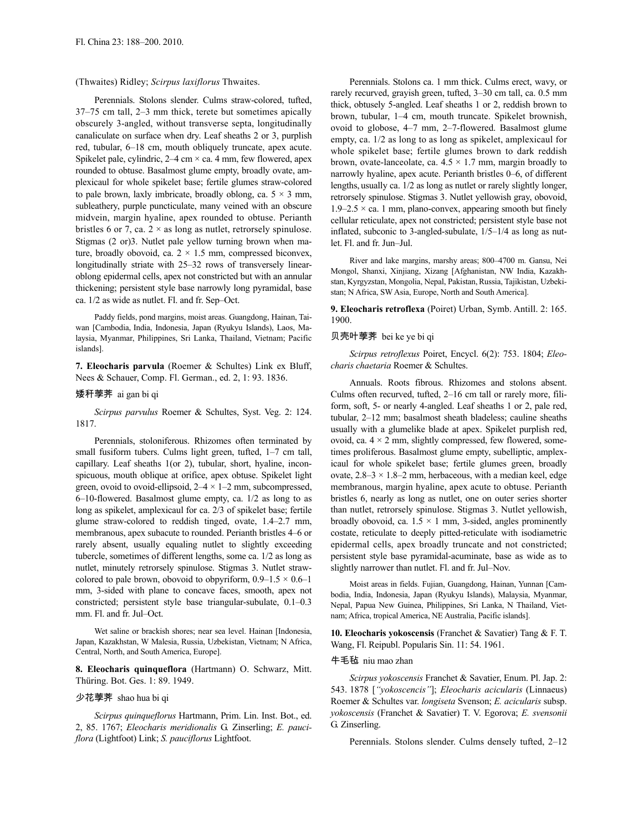(Thwaites) Ridley; *Scirpus laxiflorus* Thwaites.

Perennials. Stolons slender. Culms straw-colored, tufted, 37–75 cm tall, 2–3 mm thick, terete but sometimes apically obscurely 3-angled, without transverse septa, longitudinally canaliculate on surface when dry. Leaf sheaths 2 or 3, purplish red, tubular, 6–18 cm, mouth obliquely truncate, apex acute. Spikelet pale, cylindric,  $2-4$  cm  $\times$  ca. 4 mm, few flowered, apex rounded to obtuse. Basalmost glume empty, broadly ovate, amplexicaul for whole spikelet base; fertile glumes straw-colored to pale brown, laxly imbricate, broadly oblong, ca.  $5 \times 3$  mm, subleathery, purple puncticulate, many veined with an obscure midvein, margin hyaline, apex rounded to obtuse. Perianth bristles 6 or 7, ca.  $2 \times$  as long as nutlet, retrorsely spinulose. Stigmas (2 or)3. Nutlet pale yellow turning brown when mature, broadly obovoid, ca.  $2 \times 1.5$  mm, compressed biconvex, longitudinally striate with 25–32 rows of transversely linearoblong epidermal cells, apex not constricted but with an annular thickening; persistent style base narrowly long pyramidal, base ca. 1/2 as wide as nutlet. Fl. and fr. Sep–Oct.

Paddy fields, pond margins, moist areas. Guangdong, Hainan, Taiwan [Cambodia, India, Indonesia, Japan (Ryukyu Islands), Laos, Malaysia, Myanmar, Philippines, Sri Lanka, Thailand, Vietnam; Pacific islands].

**7. Eleocharis parvula** (Roemer & Schultes) Link ex Bluff, Nees & Schauer, Comp. Fl. German., ed. 2, 1: 93. 1836.

### 矮秆荸荠 ai gan bi qi

*Scirpus parvulus* Roemer & Schultes, Syst. Veg. 2: 124. 1817.

Perennials, stoloniferous. Rhizomes often terminated by small fusiform tubers. Culms light green, tufted, 1-7 cm tall, capillary. Leaf sheaths 1(or 2), tubular, short, hyaline, inconspicuous, mouth oblique at orifice, apex obtuse. Spikelet light green, ovoid to ovoid-ellipsoid,  $2-4 \times 1-2$  mm, subcompressed, 6–10-flowered. Basalmost glume empty, ca. 1/2 as long to as long as spikelet, amplexicaul for ca. 2/3 of spikelet base; fertile glume straw-colored to reddish tinged, ovate, 1.4–2.7 mm, membranous, apex subacute to rounded. Perianth bristles 4–6 or rarely absent, usually equaling nutlet to slightly exceeding tubercle, sometimes of different lengths, some ca. 1/2 as long as nutlet, minutely retrorsely spinulose. Stigmas 3. Nutlet strawcolored to pale brown, obovoid to obpyriform,  $0.9-1.5 \times 0.6-1$ mm, 3-sided with plane to concave faces, smooth, apex not constricted; persistent style base triangular-subulate, 0.1–0.3 mm. Fl. and fr. Jul–Oct.

Wet saline or brackish shores; near sea level. Hainan [Indonesia, Japan, Kazakhstan, W Malesia, Russia, Uzbekistan, Vietnam; N Africa, Central, North, and South America, Europe].

**8. Eleocharis quinqueflora** (Hartmann) O. Schwarz, Mitt. Thüring. Bot. Ges. 1: 89. 1949.

## 少花荸荠 shao hua bi qi

*Scirpus quinqueflorus* Hartmann, Prim. Lin. Inst. Bot., ed. 2, 85. 1767; *Eleocharis meridionalis* G. Zinserling; *E. pauciflora* (Lightfoot) Link; *S. pauciflorus* Lightfoot.

Perennials. Stolons ca. 1 mm thick. Culms erect, wavy, or rarely recurved, grayish green, tufted, 3–30 cm tall, ca. 0.5 mm thick, obtusely 5-angled. Leaf sheaths 1 or 2, reddish brown to brown, tubular, 1–4 cm, mouth truncate. Spikelet brownish, ovoid to globose, 4–7 mm, 2–7-flowered. Basalmost glume empty, ca. 1/2 as long to as long as spikelet, amplexicaul for whole spikelet base; fertile glumes brown to dark reddish brown, ovate-lanceolate, ca.  $4.5 \times 1.7$  mm, margin broadly to narrowly hyaline, apex acute. Perianth bristles 0–6, of different lengths, usually ca. 1/2 as long as nutlet or rarely slightly longer, retrorsely spinulose. Stigmas 3. Nutlet yellowish gray, obovoid,  $1.9-2.5 \times$  ca. 1 mm, plano-convex, appearing smooth but finely cellular reticulate, apex not constricted; persistent style base not inflated, subconic to 3-angled-subulate, 1/5–1/4 as long as nutlet. Fl. and fr. Jun–Jul.

River and lake margins, marshy areas; 800–4700 m. Gansu, Nei Mongol, Shanxi, Xinjiang, Xizang [Afghanistan, NW India, Kazakhstan, Kyrgyzstan, Mongolia, Nepal, Pakistan, Russia, Tajikistan, Uzbekistan; N Africa, SW Asia, Europe, North and South America].

**9. Eleocharis retroflexa** (Poiret) Urban, Symb. Antill. 2: 165. 1900.

#### 贝壳叶荸荠 bei ke ye bi qi

*Scirpus retroflexus* Poiret, Encycl. 6(2): 753. 1804; *Eleocharis chaetaria* Roemer & Schultes.

Annuals. Roots fibrous. Rhizomes and stolons absent. Culms often recurved, tufted, 2–16 cm tall or rarely more, filiform, soft, 5- or nearly 4-angled. Leaf sheaths 1 or 2, pale red, tubular, 2–12 mm; basalmost sheath bladeless; cauline sheaths usually with a glumelike blade at apex. Spikelet purplish red, ovoid, ca.  $4 \times 2$  mm, slightly compressed, few flowered, sometimes proliferous. Basalmost glume empty, subelliptic, amplexicaul for whole spikelet base; fertile glumes green, broadly ovate,  $2.8-3 \times 1.8-2$  mm, herbaceous, with a median keel, edge membranous, margin hyaline, apex acute to obtuse. Perianth bristles 6, nearly as long as nutlet, one on outer series shorter than nutlet, retrorsely spinulose. Stigmas 3. Nutlet yellowish, broadly obovoid, ca.  $1.5 \times 1$  mm, 3-sided, angles prominently costate, reticulate to deeply pitted-reticulate with isodiametric epidermal cells, apex broadly truncate and not constricted; persistent style base pyramidal-acuminate, base as wide as to slightly narrower than nutlet. Fl. and fr. Jul–Nov.

Moist areas in fields. Fujian, Guangdong, Hainan, Yunnan [Cambodia, India, Indonesia, Japan (Ryukyu Islands), Malaysia, Myanmar, Nepal, Papua New Guinea, Philippines, Sri Lanka, N Thailand, Vietnam; Africa, tropical America, NE Australia, Pacific islands].

**10. Eleocharis yokoscensis** (Franchet & Savatier) Tang & F. T. Wang, Fl. Reipubl. Popularis Sin. 11: 54. 1961.

#### 牛毛毡 niu mao zhan

*Scirpus yokoscensis* Franchet & Savatier, Enum. Pl. Jap. 2: 543. 1878 [*"yokoscencis"*]; *Eleocharis acicularis* (Linnaeus) Roemer & Schultes var. *longiseta* Svenson; *E. acicularis* subsp. *yokoscensis* (Franchet & Savatier) T. V. Egorova; *E. svensonii* G. Zinserling.

Perennials. Stolons slender. Culms densely tufted, 2–12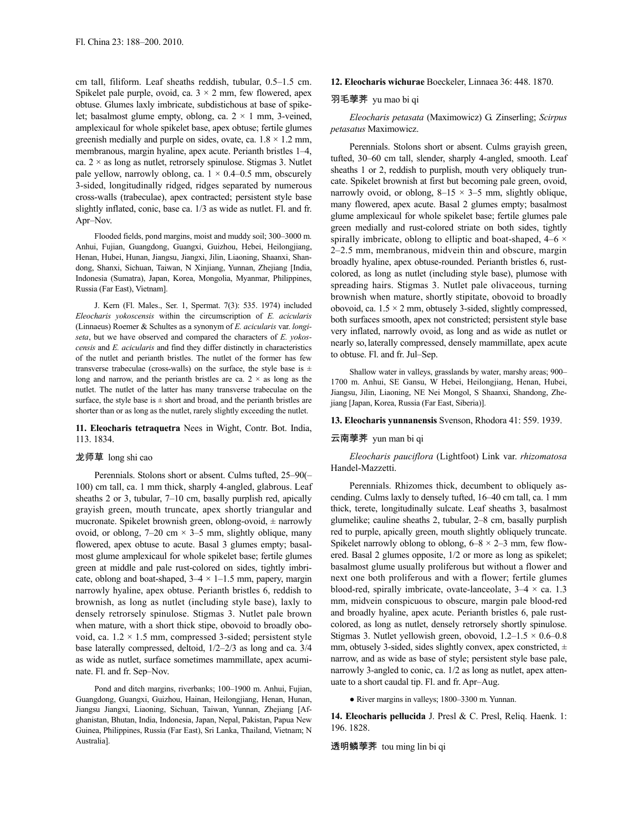cm tall, filiform. Leaf sheaths reddish, tubular, 0.5–1.5 cm. Spikelet pale purple, ovoid, ca.  $3 \times 2$  mm, few flowered, apex obtuse. Glumes laxly imbricate, subdistichous at base of spikelet; basalmost glume empty, oblong, ca.  $2 \times 1$  mm, 3-veined, amplexicaul for whole spikelet base, apex obtuse; fertile glumes greenish medially and purple on sides, ovate, ca.  $1.8 \times 1.2$  mm, membranous, margin hyaline, apex acute. Perianth bristles 1–4, ca.  $2 \times$  as long as nutlet, retrorsely spinulose. Stigmas 3. Nutlet pale yellow, narrowly oblong, ca.  $1 \times 0.4 - 0.5$  mm, obscurely 3-sided, longitudinally ridged, ridges separated by numerous cross-walls (trabeculae), apex contracted; persistent style base slightly inflated, conic, base ca. 1/3 as wide as nutlet. Fl. and fr. Apr–Nov.

Flooded fields, pond margins, moist and muddy soil; 300–3000 m. Anhui, Fujian, Guangdong, Guangxi, Guizhou, Hebei, Heilongjiang, Henan, Hubei, Hunan, Jiangsu, Jiangxi, Jilin, Liaoning, Shaanxi, Shandong, Shanxi, Sichuan, Taiwan, N Xinjiang, Yunnan, Zhejiang [India, Indonesia (Sumatra), Japan, Korea, Mongolia, Myanmar, Philippines, Russia (Far East), Vietnam].

J. Kern (Fl. Males., Ser. 1, Spermat. 7(3): 535. 1974) included *Eleocharis yokoscensis* within the circumscription of *E. acicularis* (Linnaeus) Roemer & Schultes as a synonym of *E. acicularis* var. *longiseta*, but we have observed and compared the characters of *E. yokoscensis* and *E. acicularis* and find they differ distinctly in characteristics of the nutlet and perianth bristles. The nutlet of the former has few transverse trabeculae (cross-walls) on the surface, the style base is  $\pm$ long and narrow, and the perianth bristles are ca.  $2 \times$  as long as the nutlet. The nutlet of the latter has many transverse trabeculae on the surface, the style base is  $\pm$  short and broad, and the perianth bristles are shorter than or as long as the nutlet, rarely slightly exceeding the nutlet.

### **11. Eleocharis tetraquetra** Nees in Wight, Contr. Bot. India, 113. 1834.

### 龙师草 long shi cao

Perennials. Stolons short or absent. Culms tufted, 25–90(– 100) cm tall, ca. 1 mm thick, sharply 4-angled, glabrous. Leaf sheaths 2 or 3, tubular, 7–10 cm, basally purplish red, apically grayish green, mouth truncate, apex shortly triangular and mucronate. Spikelet brownish green, oblong-ovoid,  $\pm$  narrowly ovoid, or oblong,  $7-20$  cm  $\times$  3-5 mm, slightly oblique, many flowered, apex obtuse to acute. Basal 3 glumes empty; basalmost glume amplexicaul for whole spikelet base; fertile glumes green at middle and pale rust-colored on sides, tightly imbricate, oblong and boat-shaped,  $3-4 \times 1-1.5$  mm, papery, margin narrowly hyaline, apex obtuse. Perianth bristles 6, reddish to brownish, as long as nutlet (including style base), laxly to densely retrorsely spinulose. Stigmas 3. Nutlet pale brown when mature, with a short thick stipe, obovoid to broadly obovoid, ca.  $1.2 \times 1.5$  mm, compressed 3-sided; persistent style base laterally compressed, deltoid, 1/2–2/3 as long and ca. 3/4 as wide as nutlet, surface sometimes mammillate, apex acuminate. Fl. and fr. Sep–Nov.

Pond and ditch margins, riverbanks; 100–1900 m. Anhui, Fujian, Guangdong, Guangxi, Guizhou, Hainan, Heilongjiang, Henan, Hunan, Jiangsu Jiangxi, Liaoning, Sichuan, Taiwan, Yunnan, Zhejiang [Afghanistan, Bhutan, India, Indonesia, Japan, Nepal, Pakistan, Papua New Guinea, Philippines, Russia (Far East), Sri Lanka, Thailand, Vietnam; N Australia].

#### **12. Eleocharis wichurae** Boeckeler, Linnaea 36: 448. 1870.

### 羽毛荸荠 yu mao bi qi

*Eleocharis petasata* (Maximowicz) G. Zinserling; *Scirpus petasatus* Maximowicz.

Perennials. Stolons short or absent. Culms grayish green, tufted, 30–60 cm tall, slender, sharply 4-angled, smooth. Leaf sheaths 1 or 2, reddish to purplish, mouth very obliquely truncate. Spikelet brownish at first but becoming pale green, ovoid, narrowly ovoid, or oblong,  $8-15 \times 3-5$  mm, slightly oblique, many flowered, apex acute. Basal 2 glumes empty; basalmost glume amplexicaul for whole spikelet base; fertile glumes pale green medially and rust-colored striate on both sides, tightly spirally imbricate, oblong to elliptic and boat-shaped,  $4-6 \times$ 2–2.5 mm, membranous, midvein thin and obscure, margin broadly hyaline, apex obtuse-rounded. Perianth bristles 6, rustcolored, as long as nutlet (including style base), plumose with spreading hairs. Stigmas 3. Nutlet pale olivaceous, turning brownish when mature, shortly stipitate, obovoid to broadly obovoid, ca.  $1.5 \times 2$  mm, obtusely 3-sided, slightly compressed, both surfaces smooth, apex not constricted; persistent style base very inflated, narrowly ovoid, as long and as wide as nutlet or nearly so,laterally compressed, densely mammillate, apex acute to obtuse. Fl. and fr. Jul–Sep.

Shallow water in valleys, grasslands by water, marshy areas; 900– 1700 m. Anhui, SE Gansu, W Hebei, Heilongjiang, Henan, Hubei, Jiangsu, Jilin, Liaoning, NE Nei Mongol, S Shaanxi, Shandong, Zhejiang [Japan, Korea, Russia (Far East, Siberia)].

### **13. Eleocharis yunnanensis** Svenson, Rhodora 41: 559. 1939.

### 云南荸荠 yun man bi qi

*Eleocharis pauciflora* (Lightfoot) Link var. *rhizomatosa* Handel-Mazzetti.

Perennials. Rhizomes thick, decumbent to obliquely ascending. Culms laxly to densely tufted, 16–40 cm tall, ca. 1 mm thick, terete, longitudinally sulcate. Leaf sheaths 3, basalmost glumelike; cauline sheaths 2, tubular, 2–8 cm, basally purplish red to purple, apically green, mouth slightly obliquely truncate. Spikelet narrowly oblong to oblong,  $6-8 \times 2-3$  mm, few flowered. Basal 2 glumes opposite, 1/2 or more as long as spikelet; basalmost glume usually proliferous but without a flower and next one both proliferous and with a flower; fertile glumes blood-red, spirally imbricate, ovate-lanceolate,  $3-4 \times$  ca. 1.3 mm, midvein conspicuous to obscure, margin pale blood-red and broadly hyaline, apex acute. Perianth bristles 6, pale rustcolored, as long as nutlet, densely retrorsely shortly spinulose. Stigmas 3. Nutlet yellowish green, obovoid,  $1.2-1.5 \times 0.6-0.8$ mm, obtusely 3-sided, sides slightly convex, apex constricted,  $\pm$ narrow, and as wide as base of style; persistent style base pale, narrowly 3-angled to conic, ca. 1/2 as long as nutlet, apex attenuate to a short caudal tip. Fl. and fr. Apr–Aug.

● River margins in valleys; 1800–3300 m. Yunnan.

**14. Eleocharis pellucida** J. Presl & C. Presl, Reliq. Haenk. 1: 196. 1828.

透明鳞荸荠 tou ming lin bi qi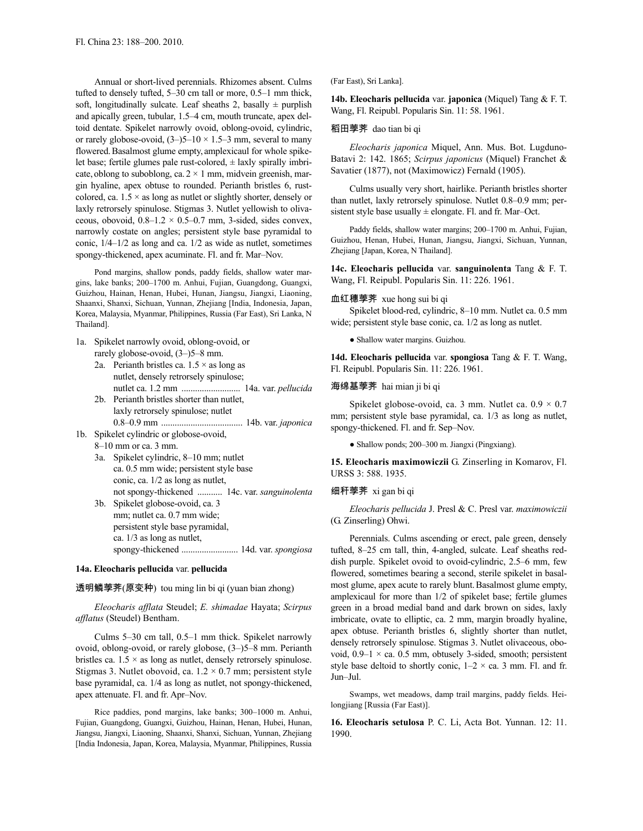Annual or short-lived perennials. Rhizomes absent. Culms tufted to densely tufted, 5–30 cm tall or more, 0.5–1 mm thick, soft, longitudinally sulcate. Leaf sheaths 2, basally  $\pm$  purplish and apically green, tubular, 1.5–4 cm, mouth truncate, apex deltoid dentate. Spikelet narrowly ovoid, oblong-ovoid, cylindric, or rarely globose-ovoid,  $(3-)$ 5–10  $\times$  1.5–3 mm, several to many flowered.Basalmost glume empty, amplexicaul for whole spikelet base; fertile glumes pale rust-colored,  $\pm$  laxly spirally imbricate, oblong to suboblong, ca.  $2 \times 1$  mm, midvein greenish, margin hyaline, apex obtuse to rounded. Perianth bristles 6, rustcolored, ca.  $1.5 \times$  as long as nutlet or slightly shorter, densely or laxly retrorsely spinulose. Stigmas 3. Nutlet yellowish to olivaceous, obovoid,  $0.8-1.2 \times 0.5-0.7$  mm, 3-sided, sides convex, narrowly costate on angles; persistent style base pyramidal to conic, 1/4–1/2 as long and ca. 1/2 as wide as nutlet, sometimes spongy-thickened, apex acuminate. Fl. and fr. Mar–Nov.

Pond margins, shallow ponds, paddy fields, shallow water margins, lake banks; 200–1700 m. Anhui, Fujian, Guangdong, Guangxi, Guizhou, Hainan, Henan, Hubei, Hunan, Jiangsu, Jiangxi, Liaoning, Shaanxi, Shanxi, Sichuan, Yunnan, Zhejiang [India, Indonesia, Japan, Korea, Malaysia, Myanmar, Philippines, Russia (Far East), Sri Lanka, N Thailand].

- 1a. Spikelet narrowly ovoid, oblong-ovoid, or rarely globose-ovoid, (3–)5–8 mm.
	- 2a. Perianth bristles ca.  $1.5 \times$  as long as nutlet, densely retrorsely spinulose; nutlet ca. 1.2 mm .......................... 14a. var. *pellucida*
	- 2b. Perianth bristles shorter than nutlet, laxly retrorsely spinulose; nutlet 0.8–0.9 mm .................................... 14b. var. *japonica*
- 1b. Spikelet cylindric or globose-ovoid, 8–10 mm or ca. 3 mm.
	- 3a. Spikelet cylindric, 8–10 mm; nutlet ca. 0.5 mm wide; persistent style base conic, ca. 1/2 as long as nutlet, not spongy-thickened ........... 14c. var. *sanguinolenta*
	- 3b. Spikelet globose-ovoid, ca. 3 mm; nutlet ca. 0.7 mm wide; persistent style base pyramidal, ca. 1/3 as long as nutlet, spongy-thickened ......................... 14d. var. *spongiosa*

### **14a. Eleocharis pellucida** var. **pellucida**

# 透明鳞荸荠(原变种) tou ming lin bi qi (yuan bian zhong)

*Eleocharis afflata* Steudel; *E. shimadae* Hayata; *Scirpus afflatus* (Steudel) Bentham.

Culms 5–30 cm tall, 0.5–1 mm thick. Spikelet narrowly ovoid, oblong-ovoid, or rarely globose, (3–)5–8 mm. Perianth bristles ca.  $1.5 \times$  as long as nutlet, densely retrorsely spinulose. Stigmas 3. Nutlet obovoid, ca.  $1.2 \times 0.7$  mm; persistent style base pyramidal, ca. 1/4 as long as nutlet, not spongy-thickened, apex attenuate. Fl. and fr. Apr–Nov.

Rice paddies, pond margins, lake banks; 300–1000 m. Anhui, Fujian, Guangdong, Guangxi, Guizhou, Hainan, Henan, Hubei, Hunan, Jiangsu, Jiangxi, Liaoning, Shaanxi, Shanxi, Sichuan, Yunnan, Zhejiang [India Indonesia, Japan, Korea, Malaysia, Myanmar, Philippines, Russia

(Far East), Sri Lanka].

**14b. Eleocharis pellucida** var. **japonica** (Miquel) Tang & F. T. Wang, Fl. Reipubl. Popularis Sin. 11: 58. 1961.

### 稻田荸荠 dao tian bi qi

*Eleocharis japonica* Miquel, Ann. Mus. Bot. Lugduno-Batavi 2: 142. 1865; *Scirpus japonicus* (Miquel) Franchet & Savatier (1877), not (Maximowicz) Fernald (1905).

Culms usually very short, hairlike. Perianth bristles shorter than nutlet, laxly retrorsely spinulose. Nutlet 0.8–0.9 mm; persistent style base usually  $\pm$  elongate. Fl. and fr. Mar–Oct.

Paddy fields, shallow water margins; 200–1700 m. Anhui, Fujian, Guizhou, Henan, Hubei, Hunan, Jiangsu, Jiangxi, Sichuan, Yunnan, Zhejiang [Japan, Korea, N Thailand].

**14c. Eleocharis pellucida** var. **sanguinolenta** Tang & F. T. Wang, Fl. Reipubl. Popularis Sin. 11: 226. 1961.

### 血红穗荸荠 xue hong sui bi qi

Spikelet blood-red, cylindric, 8–10 mm. Nutlet ca. 0.5 mm wide; persistent style base conic, ca. 1/2 as long as nutlet.

● Shallow water margins. Guizhou.

**14d. Eleocharis pellucida** var. **spongiosa** Tang & F. T. Wang, Fl. Reipubl. Popularis Sin. 11: 226. 1961.

# 海绵基荸荠 hai mian ji bi qi

Spikelet globose-ovoid, ca. 3 mm. Nutlet ca.  $0.9 \times 0.7$ mm; persistent style base pyramidal, ca. 1/3 as long as nutlet, spongy-thickened. Fl. and fr. Sep–Nov.

● Shallow ponds; 200–300 m. Jiangxi (Pingxiang).

**15. Eleocharis maximowiczii** G. Zinserling in Komarov, Fl. URSS 3: 588. 1935.

# 细秆荸荠 xi gan bi qi

*Eleocharis pellucida* J. Presl & C. Presl var. *maximowiczii* (G. Zinserling) Ohwi.

Perennials. Culms ascending or erect, pale green, densely tufted, 8–25 cm tall, thin, 4-angled, sulcate. Leaf sheaths reddish purple. Spikelet ovoid to ovoid-cylindric, 2.5–6 mm, few flowered, sometimes bearing a second, sterile spikelet in basalmost glume, apex acute to rarely blunt.Basalmost glume empty, amplexicaul for more than 1/2 of spikelet base; fertile glumes green in a broad medial band and dark brown on sides, laxly imbricate, ovate to elliptic, ca. 2 mm, margin broadly hyaline, apex obtuse. Perianth bristles 6, slightly shorter than nutlet, densely retrorsely spinulose. Stigmas 3. Nutlet olivaceous, obovoid,  $0.9-1 \times$  ca. 0.5 mm, obtusely 3-sided, smooth; persistent style base deltoid to shortly conic,  $1-2 \times$  ca. 3 mm. Fl. and fr. Jun–Jul.

Swamps, wet meadows, damp trail margins, paddy fields. Heilongjiang [Russia (Far East)].

**16. Eleocharis setulosa** P. C. Li, Acta Bot. Yunnan. 12: 11. 1990.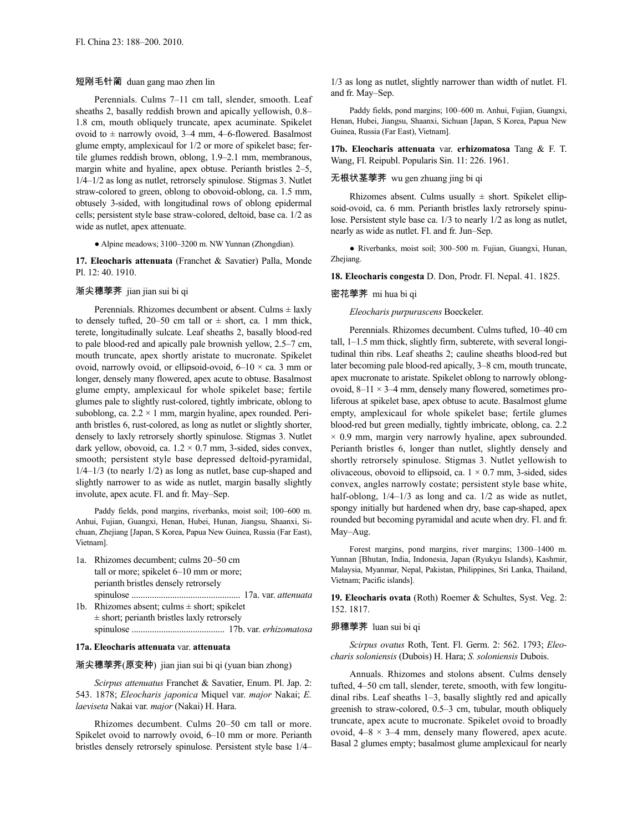# 短刚毛针蔺 duan gang mao zhen lin

Perennials. Culms 7–11 cm tall, slender, smooth. Leaf sheaths 2, basally reddish brown and apically yellowish, 0.8– 1.8 cm, mouth obliquely truncate, apex acuminate. Spikelet ovoid to  $\pm$  narrowly ovoid, 3–4 mm, 4–6-flowered. Basalmost glume empty, amplexicaul for 1/2 or more of spikelet base; fertile glumes reddish brown, oblong, 1.9–2.1 mm, membranous, margin white and hyaline, apex obtuse. Perianth bristles 2–5, 1/4–1/2 as long as nutlet, retrorsely spinulose. Stigmas 3. Nutlet straw-colored to green, oblong to obovoid-oblong, ca. 1.5 mm, obtusely 3-sided, with longitudinal rows of oblong epidermal cells; persistent style base straw-colored, deltoid, base ca. 1/2 as wide as nutlet, apex attenuate.

● Alpine meadows; 3100–3200 m. NW Yunnan (Zhongdian).

**17. Eleocharis attenuata** (Franchet & Savatier) Palla, Monde Pl. 12: 40. 1910.

### 渐尖穗荸荠 jian jian sui bi qi

Perennials. Rhizomes decumbent or absent. Culms  $\pm$  laxly to densely tufted,  $20-50$  cm tall or  $\pm$  short, ca. 1 mm thick, terete, longitudinally sulcate. Leaf sheaths 2, basally blood-red to pale blood-red and apically pale brownish yellow, 2.5–7 cm, mouth truncate, apex shortly aristate to mucronate. Spikelet ovoid, narrowly ovoid, or ellipsoid-ovoid,  $6-10 \times$  ca. 3 mm or longer, densely many flowered, apex acute to obtuse. Basalmost glume empty, amplexicaul for whole spikelet base; fertile glumes pale to slightly rust-colored, tightly imbricate, oblong to suboblong, ca.  $2.2 \times 1$  mm, margin hyaline, apex rounded. Perianth bristles 6, rust-colored, as long as nutlet or slightly shorter, densely to laxly retrorsely shortly spinulose. Stigmas 3. Nutlet dark yellow, obovoid, ca.  $1.2 \times 0.7$  mm, 3-sided, sides convex, smooth; persistent style base depressed deltoid-pyramidal,  $1/4-1/3$  (to nearly  $1/2$ ) as long as nutlet, base cup-shaped and slightly narrower to as wide as nutlet, margin basally slightly involute, apex acute. Fl. and fr. May–Sep.

Paddy fields, pond margins, riverbanks, moist soil; 100–600 m. Anhui, Fujian, Guangxi, Henan, Hubei, Hunan, Jiangsu, Shaanxi, Sichuan, Zhejiang [Japan, S Korea, Papua New Guinea, Russia (Far East), Vietnam].

1a. Rhizomes decumbent; culms 20–50 cm tall or more; spikelet 6–10 mm or more; perianth bristles densely retrorsely spinulose ................................................ 17a. var. *attenuata* 1b. Rhizomes absent; culms  $\pm$  short; spikelet ± short; perianth bristles laxly retrorsely

# spinulose ......................................... 17b. var. *erhizomatosa*

# **17a. Eleocharis attenuata** var. **attenuata**

### 渐尖穗荸荠(原变种) jian jian sui bi qi (yuan bian zhong)

*Scirpus attenuatus* Franchet & Savatier, Enum. Pl. Jap. 2: 543. 1878; *Eleocharis japonica* Miquel var. *major* Nakai; *E. laeviseta* Nakai var. *major* (Nakai) H. Hara.

Rhizomes decumbent. Culms 20–50 cm tall or more. Spikelet ovoid to narrowly ovoid, 6–10 mm or more. Perianth bristles densely retrorsely spinulose. Persistent style base 1/4–

1/3 as long as nutlet, slightly narrower than width of nutlet. Fl. and fr. May–Sep.

Paddy fields, pond margins; 100–600 m. Anhui, Fujian, Guangxi, Henan, Hubei, Jiangsu, Shaanxi, Sichuan [Japan, S Korea, Papua New Guinea, Russia (Far East), Vietnam].

**17b. Eleocharis attenuata** var. **erhizomatosa** Tang & F. T. Wang, Fl. Reipubl. Popularis Sin. 11: 226. 1961.

# 无根状茎荸荠 wu gen zhuang jing bi qi

Rhizomes absent. Culms usually  $\pm$  short. Spikelet ellipsoid-ovoid, ca. 6 mm. Perianth bristles laxly retrorsely spinulose. Persistent style base ca. 1/3 to nearly 1/2 as long as nutlet, nearly as wide as nutlet. Fl. and fr. Jun–Sep.

● Riverbanks, moist soil; 300–500 m. Fujian, Guangxi, Hunan, Zhejiang.

**18. Eleocharis congesta** D. Don, Prodr. Fl. Nepal. 41. 1825.

### 密花荸荠 mi hua bi qi

*Eleocharis purpurascens* Boeckeler.

Perennials. Rhizomes decumbent. Culms tufted, 10–40 cm tall, 1–1.5 mm thick, slightly firm, subterete, with several longitudinal thin ribs. Leaf sheaths 2; cauline sheaths blood-red but later becoming pale blood-red apically, 3–8 cm, mouth truncate, apex mucronate to aristate. Spikelet oblong to narrowly oblongovoid,  $8-11 \times 3-4$  mm, densely many flowered, sometimes proliferous at spikelet base, apex obtuse to acute. Basalmost glume empty, amplexicaul for whole spikelet base; fertile glumes blood-red but green medially, tightly imbricate, oblong, ca. 2.2  $\times$  0.9 mm, margin very narrowly hyaline, apex subrounded. Perianth bristles 6, longer than nutlet, slightly densely and shortly retrorsely spinulose. Stigmas 3. Nutlet yellowish to olivaceous, obovoid to ellipsoid, ca.  $1 \times 0.7$  mm, 3-sided, sides convex, angles narrowly costate; persistent style base white, half-oblong,  $1/4-1/3$  as long and ca.  $1/2$  as wide as nutlet, spongy initially but hardened when dry, base cap-shaped, apex rounded but becoming pyramidal and acute when dry. Fl. and fr. May–Aug.

Forest margins, pond margins, river margins; 1300–1400 m. Yunnan [Bhutan, India, Indonesia, Japan (Ryukyu Islands), Kashmir, Malaysia, Myanmar, Nepal, Pakistan, Philippines, Sri Lanka, Thailand, Vietnam; Pacific islands].

**19. Eleocharis ovata** (Roth) Roemer & Schultes, Syst. Veg. 2: 152. 1817.

#### 卵穗荸荠 luan sui bi qi

*Scirpus ovatus* Roth, Tent. Fl. Germ. 2: 562. 1793; *Eleocharis soloniensis* (Dubois) H. Hara; *S. soloniensis* Dubois.

Annuals. Rhizomes and stolons absent. Culms densely tufted, 4–50 cm tall, slender, terete, smooth, with few longitudinal ribs. Leaf sheaths 1–3, basally slightly red and apically greenish to straw-colored, 0.5–3 cm, tubular, mouth obliquely truncate, apex acute to mucronate. Spikelet ovoid to broadly ovoid,  $4-8 \times 3-4$  mm, densely many flowered, apex acute. Basal 2 glumes empty; basalmost glume amplexicaul for nearly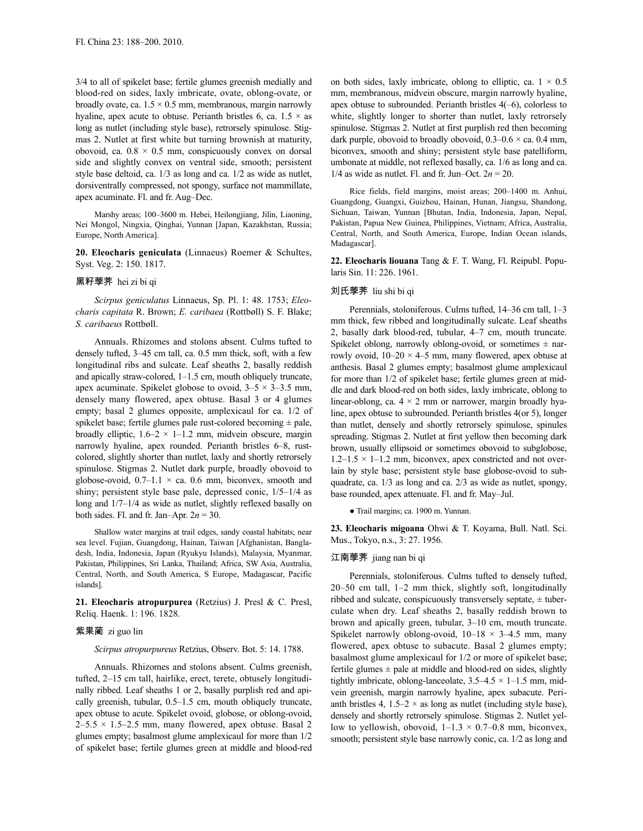3/4 to all of spikelet base; fertile glumes greenish medially and blood-red on sides, laxly imbricate, ovate, oblong-ovate, or broadly ovate, ca.  $1.5 \times 0.5$  mm, membranous, margin narrowly hyaline, apex acute to obtuse. Perianth bristles 6, ca.  $1.5 \times$  as long as nutlet (including style base), retrorsely spinulose. Stigmas 2. Nutlet at first white but turning brownish at maturity, obovoid, ca.  $0.8 \times 0.5$  mm, conspicuously convex on dorsal side and slightly convex on ventral side, smooth; persistent style base deltoid, ca. 1/3 as long and ca. 1/2 as wide as nutlet, dorsiventrally compressed, not spongy, surface not mammillate, apex acuminate. Fl. and fr. Aug–Dec.

Marshy areas; 100–3600 m. Hebei, Heilongjiang, Jilin, Liaoning, Nei Mongol, Ningxia, Qinghai, Yunnan [Japan, Kazakhstan, Russia; Europe, North America].

**20. Eleocharis geniculata** (Linnaeus) Roemer & Schultes, Syst. Veg. 2: 150. 1817.

### 黑籽荸荠 hei zi bi qi

*Scirpus geniculatus* Linnaeus, Sp. Pl. 1: 48. 1753; *Eleocharis capitata* R. Brown; *E. caribaea* (Rottbøll) S. F. Blake; *S. caribaeus* Rottbøll.

Annuals. Rhizomes and stolons absent. Culms tufted to densely tufted, 3–45 cm tall, ca. 0.5 mm thick, soft, with a few longitudinal ribs and sulcate. Leaf sheaths 2, basally reddish and apically straw-colored, 1–1.5 cm, mouth obliquely truncate, apex acuminate. Spikelet globose to ovoid,  $3-5 \times 3-3.5$  mm, densely many flowered, apex obtuse. Basal 3 or 4 glumes empty; basal 2 glumes opposite, amplexicaul for ca. 1/2 of spikelet base; fertile glumes pale rust-colored becoming  $\pm$  pale, broadly elliptic,  $1.6-2 \times 1-1.2$  mm, midvein obscure, margin narrowly hyaline, apex rounded. Perianth bristles 6–8, rustcolored, slightly shorter than nutlet, laxly and shortly retrorsely spinulose. Stigmas 2. Nutlet dark purple, broadly obovoid to globose-ovoid,  $0.7-1.1 \times$  ca. 0.6 mm, biconvex, smooth and shiny; persistent style base pale, depressed conic, 1/5–1/4 as long and  $1/7-1/4$  as wide as nutlet, slightly reflexed basally on both sides. Fl. and fr. Jan–Apr. 2*n* = 30.

Shallow water margins at trail edges, sandy coastal habitats; near sea level. Fujian, Guangdong, Hainan, Taiwan [Afghanistan, Bangladesh, India, Indonesia, Japan (Ryukyu Islands), Malaysia, Myanmar, Pakistan, Philippines, Sri Lanka, Thailand; Africa, SW Asia, Australia, Central, North, and South America, S Europe, Madagascar, Pacific islands].

**21. Eleocharis atropurpurea** (Retzius) J. Presl & C. Presl, Reliq. Haenk. 1: 196. 1828.

### 紫果蔺 zi guo lin

*Scirpus atropurpureus* Retzius, Observ. Bot. 5: 14. 1788.

Annuals. Rhizomes and stolons absent. Culms greenish, tufted, 2–15 cm tall, hairlike, erect, terete, obtusely longitudinally ribbed. Leaf sheaths 1 or 2, basally purplish red and apically greenish, tubular, 0.5–1.5 cm, mouth obliquely truncate, apex obtuse to acute. Spikelet ovoid, globose, or oblong-ovoid,  $2-5.5 \times 1.5-2.5$  mm, many flowered, apex obtuse. Basal 2 glumes empty; basalmost glume amplexicaul for more than 1/2 of spikelet base; fertile glumes green at middle and blood-red on both sides, laxly imbricate, oblong to elliptic, ca.  $1 \times 0.5$ mm, membranous, midvein obscure, margin narrowly hyaline, apex obtuse to subrounded. Perianth bristles 4(–6), colorless to white, slightly longer to shorter than nutlet, laxly retrorsely spinulose. Stigmas 2. Nutlet at first purplish red then becoming dark purple, obovoid to broadly obovoid,  $0.3-0.6 \times$  ca. 0.4 mm, biconvex, smooth and shiny; persistent style base patelliform, umbonate at middle, not reflexed basally, ca. 1/6 as long and ca. 1/4 as wide as nutlet. Fl. and fr. Jun–Oct.  $2n = 20$ .

Rice fields, field margins, moist areas; 200–1400 m. Anhui, Guangdong, Guangxi, Guizhou, Hainan, Hunan, Jiangsu, Shandong, Sichuan, Taiwan, Yunnan [Bhutan, India, Indonesia, Japan, Nepal, Pakistan, Papua New Guinea, Philippines, Vietnam; Africa, Australia, Central, North, and South America, Europe, Indian Ocean islands, Madagascar].

**22. Eleocharis liouana** Tang & F. T. Wang, Fl. Reipubl. Popularis Sin. 11: 226. 1961.

### 刘氏荸荠 liu shi bi qi

Perennials, stoloniferous. Culms tufted, 14–36 cm tall, 1–3 mm thick, few ribbed and longitudinally sulcate. Leaf sheaths 2, basally dark blood-red, tubular, 4–7 cm, mouth truncate. Spikelet oblong, narrowly oblong-ovoid, or sometimes  $\pm$  narrowly ovoid,  $10-20 \times 4-5$  mm, many flowered, apex obtuse at anthesis. Basal 2 glumes empty; basalmost glume amplexicaul for more than 1/2 of spikelet base; fertile glumes green at middle and dark blood-red on both sides, laxly imbricate, oblong to linear-oblong, ca.  $4 \times 2$  mm or narrower, margin broadly hyaline, apex obtuse to subrounded. Perianth bristles 4(or 5), longer than nutlet, densely and shortly retrorsely spinulose, spinules spreading. Stigmas 2. Nutlet at first yellow then becoming dark brown, usually ellipsoid or sometimes obovoid to subglobose,  $1.2-1.5 \times 1-1.2$  mm, biconvex, apex constricted and not overlain by style base; persistent style base globose-ovoid to subquadrate, ca. 1/3 as long and ca. 2/3 as wide as nutlet, spongy, base rounded, apex attenuate. Fl. and fr. May–Jul.

● Trail margins; ca. 1900 m. Yunnan.

**23. Eleocharis migoana** Ohwi & T. Koyama, Bull. Natl. Sci. Mus., Tokyo, n.s., 3: 27. 1956.

### 江南荸荠 jiang nan bi qi

Perennials, stoloniferous. Culms tufted to densely tufted, 20–50 cm tall, 1–2 mm thick, slightly soft, longitudinally ribbed and sulcate, conspicuously transversely septate, ± tuberculate when dry. Leaf sheaths 2, basally reddish brown to brown and apically green, tubular, 3–10 cm, mouth truncate. Spikelet narrowly oblong-ovoid,  $10-18 \times 3-4.5$  mm, many flowered, apex obtuse to subacute. Basal 2 glumes empty; basalmost glume amplexicaul for 1/2 or more of spikelet base; fertile glumes  $\pm$  pale at middle and blood-red on sides, slightly tightly imbricate, oblong-lanceolate,  $3.5-4.5 \times 1-1.5$  mm, midvein greenish, margin narrowly hyaline, apex subacute. Perianth bristles 4,  $1.5-2 \times$  as long as nutlet (including style base), densely and shortly retrorsely spinulose. Stigmas 2. Nutlet yellow to yellowish, obovoid,  $1-1.3 \times 0.7-0.8$  mm, biconvex, smooth; persistent style base narrowly conic, ca. 1/2 as long and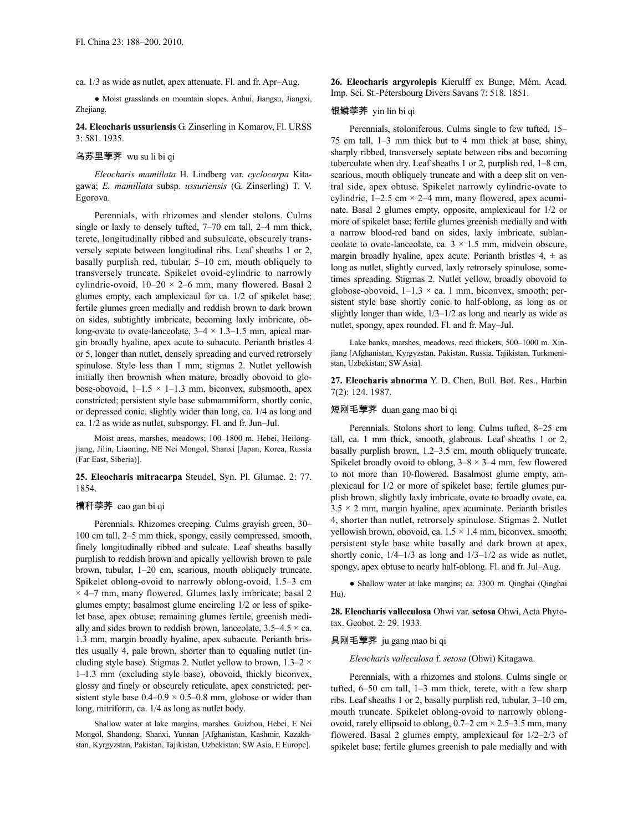ca. 1/3 as wide as nutlet, apex attenuate. Fl. and fr. Apr–Aug.

● Moist grasslands on mountain slopes. Anhui, Jiangsu, Jiangxi, Zhejiang.

**24. Eleocharis ussuriensis** G. Zinserling in Komarov, Fl. URSS 3: 581. 1935.

### 乌苏里荸荠 wu su li bi qi

*Eleocharis mamillata* H. Lindberg var. *cyclocarpa* Kitagawa; *E. mamillata* subsp. *ussuriensis* (G. Zinserling) T. V. Egorova.

Perennials, with rhizomes and slender stolons. Culms single or laxly to densely tufted, 7–70 cm tall, 2–4 mm thick, terete, longitudinally ribbed and subsulcate, obscurely transversely septate between longitudinal ribs. Leaf sheaths 1 or 2, basally purplish red, tubular, 5–10 cm, mouth obliquely to transversely truncate. Spikelet ovoid-cylindric to narrowly cylindric-ovoid,  $10-20 \times 2-6$  mm, many flowered. Basal 2 glumes empty, each amplexicaul for ca. 1/2 of spikelet base; fertile glumes green medially and reddish brown to dark brown on sides, subtightly imbricate, becoming laxly imbricate, oblong-ovate to ovate-lanceolate,  $3-4 \times 1.3-1.5$  mm, apical margin broadly hyaline, apex acute to subacute. Perianth bristles 4 or 5, longer than nutlet, densely spreading and curved retrorsely spinulose. Style less than 1 mm; stigmas 2. Nutlet yellowish initially then brownish when mature, broadly obovoid to globose-obovoid,  $1-1.5 \times 1-1.3$  mm, biconvex, subsmooth, apex constricted; persistent style base submammiform, shortly conic, or depressed conic, slightly wider than long, ca. 1/4 as long and ca. 1/2 as wide as nutlet, subspongy. Fl. and fr. Jun–Jul.

Moist areas, marshes, meadows; 100–1800 m. Hebei, Heilongjiang, Jilin, Liaoning, NE Nei Mongol, Shanxi [Japan, Korea, Russia (Far East, Siberia)].

**25. Eleocharis mitracarpa** Steudel, Syn. Pl. Glumac. 2: 77. 1854.

#### 槽秆荸荠 cao gan bi qi

Perennials. Rhizomes creeping. Culms grayish green, 30– 100 cm tall, 2–5 mm thick, spongy, easily compressed, smooth, finely longitudinally ribbed and sulcate. Leaf sheaths basally purplish to reddish brown and apically yellowish brown to pale brown, tubular, 1–20 cm, scarious, mouth obliquely truncate. Spikelet oblong-ovoid to narrowly oblong-ovoid, 1.5–3 cm  $\times$  4–7 mm, many flowered. Glumes laxly imbricate; basal 2 glumes empty; basalmost glume encircling 1/2 or less of spikelet base, apex obtuse; remaining glumes fertile, greenish medially and sides brown to reddish brown, lanceolate,  $3.5-4.5 \times$  ca. 1.3 mm, margin broadly hyaline, apex subacute. Perianth bristles usually 4, pale brown, shorter than to equaling nutlet (including style base). Stigmas 2. Nutlet yellow to brown,  $1.3-2 \times$ 1–1.3 mm (excluding style base), obovoid, thickly biconvex, glossy and finely or obscurely reticulate, apex constricted; persistent style base  $0.4-0.9 \times 0.5-0.8$  mm, globose or wider than long, mitriform, ca. 1/4 as long as nutlet body.

Shallow water at lake margins, marshes. Guizhou, Hebei, E Nei Mongol, Shandong, Shanxi, Yunnan [Afghanistan, Kashmir, Kazakhstan, Kyrgyzstan, Pakistan, Tajikistan, Uzbekistan; SW Asia, E Europe].

**26. Eleocharis argyrolepis** Kierulff ex Bunge, Mém. Acad. Imp. Sci. St.-Pétersbourg Divers Savans 7: 518. 1851.

### 银鳞荸荠 yin lin bi qi

Perennials, stoloniferous. Culms single to few tufted, 15– 75 cm tall, 1–3 mm thick but to 4 mm thick at base, shiny, sharply ribbed, transversely septate between ribs and becoming tuberculate when dry. Leaf sheaths 1 or 2, purplish red, 1–8 cm, scarious, mouth obliquely truncate and with a deep slit on ventral side, apex obtuse. Spikelet narrowly cylindric-ovate to cylindric,  $1-2.5$  cm  $\times$  2–4 mm, many flowered, apex acuminate. Basal 2 glumes empty, opposite, amplexicaul for 1/2 or more of spikelet base; fertile glumes greenish medially and with a narrow blood-red band on sides, laxly imbricate, sublanceolate to ovate-lanceolate, ca.  $3 \times 1.5$  mm, midvein obscure, margin broadly hyaline, apex acute. Perianth bristles  $4, \pm$  as long as nutlet, slightly curved, laxly retrorsely spinulose, sometimes spreading. Stigmas 2. Nutlet yellow, broadly obovoid to globose-obovoid,  $1-1.3 \times$  ca. 1 mm, biconvex, smooth; persistent style base shortly conic to half-oblong, as long as or slightly longer than wide, 1/3–1/2 as long and nearly as wide as nutlet, spongy, apex rounded. Fl. and fr. May–Jul.

Lake banks, marshes, meadows, reed thickets; 500–1000 m. Xinjiang [Afghanistan, Kyrgyzstan, Pakistan, Russia, Tajikistan, Turkmenistan, Uzbekistan; SW Asia].

**27. Eleocharis abnorma** Y. D. Chen, Bull. Bot. Res., Harbin 7(2): 124. 1987.

### 短刚毛荸荠 duan gang mao bi qi

Perennials. Stolons short to long. Culms tufted, 8–25 cm tall, ca. 1 mm thick, smooth, glabrous. Leaf sheaths 1 or 2, basally purplish brown, 1.2–3.5 cm, mouth obliquely truncate. Spikelet broadly ovoid to oblong,  $3-8 \times 3-4$  mm, few flowered to not more than 10-flowered. Basalmost glume empty, amplexicaul for 1/2 or more of spikelet base; fertile glumes purplish brown, slightly laxly imbricate, ovate to broadly ovate, ca.  $3.5 \times 2$  mm, margin hyaline, apex acuminate. Perianth bristles 4, shorter than nutlet, retrorsely spinulose. Stigmas 2. Nutlet yellowish brown, obovoid, ca.  $1.5 \times 1.4$  mm, biconvex, smooth; persistent style base white basally and dark brown at apex, shortly conic,  $1/4-1/3$  as long and  $1/3-1/2$  as wide as nutlet, spongy, apex obtuse to nearly half-oblong. Fl. and fr. Jul–Aug.

● Shallow water at lake margins; ca. 3300 m. Qinghai (Qinghai Hu).

**28. Eleocharis valleculosa** Ohwi var. **setosa** Ohwi, Acta Phytotax. Geobot. 2: 29. 1933.

### 具刚毛荸荠 ju gang mao bi qi

*Eleocharis valleculosa* f. *setosa* (Ohwi) Kitagawa.

Perennials, with a rhizomes and stolons. Culms single or tufted, 6–50 cm tall, 1–3 mm thick, terete, with a few sharp ribs. Leaf sheaths 1 or 2, basally purplish red, tubular, 3–10 cm, mouth truncate. Spikelet oblong-ovoid to narrowly oblongovoid, rarely ellipsoid to oblong,  $0.7-2$  cm  $\times$  2.5-3.5 mm, many flowered. Basal 2 glumes empty, amplexicaul for 1/2–2/3 of spikelet base; fertile glumes greenish to pale medially and with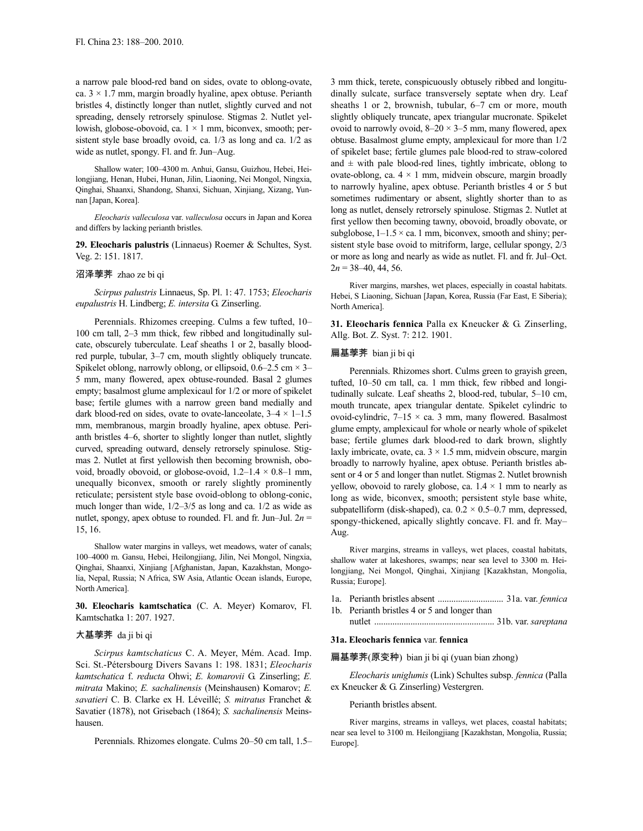a narrow pale blood-red band on sides, ovate to oblong-ovate, ca.  $3 \times 1.7$  mm, margin broadly hyaline, apex obtuse. Perianth bristles 4, distinctly longer than nutlet, slightly curved and not spreading, densely retrorsely spinulose. Stigmas 2. Nutlet yellowish, globose-obovoid, ca.  $1 \times 1$  mm, biconvex, smooth; persistent style base broadly ovoid, ca. 1/3 as long and ca. 1/2 as wide as nutlet, spongy. Fl. and fr. Jun–Aug.

Shallow water; 100–4300 m. Anhui, Gansu, Guizhou, Hebei, Heilongjiang, Henan, Hubei, Hunan, Jilin, Liaoning, Nei Mongol, Ningxia, Qinghai, Shaanxi, Shandong, Shanxi, Sichuan, Xinjiang, Xizang, Yunnan [Japan, Korea].

*Eleocharis valleculosa* var. *valleculosa* occurs in Japan and Korea and differs by lacking perianth bristles.

**29. Eleocharis palustris** (Linnaeus) Roemer & Schultes, Syst. Veg. 2: 151. 1817.

### 沼泽荸荠 zhao ze bi qi

*Scirpus palustris* Linnaeus, Sp. Pl. 1: 47. 1753; *Eleocharis eupalustris* H. Lindberg; *E. intersita* G. Zinserling.

Perennials. Rhizomes creeping. Culms a few tufted, 10– 100 cm tall, 2–3 mm thick, few ribbed and longitudinally sulcate, obscurely tuberculate. Leaf sheaths 1 or 2, basally bloodred purple, tubular, 3–7 cm, mouth slightly obliquely truncate. Spikelet oblong, narrowly oblong, or ellipsoid,  $0.6-2.5$  cm  $\times$  3-5 mm, many flowered, apex obtuse-rounded. Basal 2 glumes empty; basalmost glume amplexicaul for 1/2 or more of spikelet base; fertile glumes with a narrow green band medially and dark blood-red on sides, ovate to ovate-lanceolate,  $3-4 \times 1-1.5$ mm, membranous, margin broadly hyaline, apex obtuse. Perianth bristles 4–6, shorter to slightly longer than nutlet, slightly curved, spreading outward, densely retrorsely spinulose. Stigmas 2. Nutlet at first yellowish then becoming brownish, obovoid, broadly obovoid, or globose-ovoid,  $1.2-1.4 \times 0.8-1$  mm, unequally biconvex, smooth or rarely slightly prominently reticulate; persistent style base ovoid-oblong to oblong-conic, much longer than wide, 1/2–3/5 as long and ca. 1/2 as wide as nutlet, spongy, apex obtuse to rounded. Fl. and fr. Jun–Jul.  $2n =$ 15, 16.

Shallow water margins in valleys, wet meadows, water of canals; 100–4000 m. Gansu, Hebei, Heilongjiang, Jilin, Nei Mongol, Ningxia, Qinghai, Shaanxi, Xinjiang [Afghanistan, Japan, Kazakhstan, Mongolia, Nepal, Russia; N Africa, SW Asia, Atlantic Ocean islands, Europe, North America].

**30. Eleocharis kamtschatica** (C. A. Meyer) Komarov, Fl. Kamtschatka 1: 207. 1927.

## 大基荸荠 da ji bi qi

*Scirpus kamtschaticus* C. A. Meyer, Mém. Acad. Imp. Sci. St.-Pétersbourg Divers Savans 1: 198. 1831; *Eleocharis kamtschatica* f. *reducta* Ohwi; *E. komarovii* G. Zinserling; *E. mitrata* Makino; *E. sachalinensis* (Meinshausen) Komarov; *E. savatieri* C. B. Clarke ex H. Léveillé; *S. mitratus* Franchet & Savatier (1878), not Grisebach (1864); *S. sachalinensis* Meinshausen.

Perennials. Rhizomes elongate. Culms 20–50 cm tall, 1.5–

3 mm thick, terete, conspicuously obtusely ribbed and longitudinally sulcate, surface transversely septate when dry. Leaf sheaths 1 or 2, brownish, tubular, 6–7 cm or more, mouth slightly obliquely truncate, apex triangular mucronate. Spikelet ovoid to narrowly ovoid,  $8-20 \times 3-5$  mm, many flowered, apex obtuse. Basalmost glume empty, amplexicaul for more than 1/2 of spikelet base; fertile glumes pale blood-red to straw-colored and  $\pm$  with pale blood-red lines, tightly imbricate, oblong to ovate-oblong, ca.  $4 \times 1$  mm, midvein obscure, margin broadly to narrowly hyaline, apex obtuse. Perianth bristles 4 or 5 but sometimes rudimentary or absent, slightly shorter than to as long as nutlet, densely retrorsely spinulose. Stigmas 2. Nutlet at first yellow then becoming tawny, obovoid, broadly obovate, or subglobose,  $1-1.5 \times$  ca. 1 mm, biconvex, smooth and shiny; persistent style base ovoid to mitriform, large, cellular spongy, 2/3 or more as long and nearly as wide as nutlet. Fl. and fr. Jul–Oct.  $2n = 38-40, 44, 56$ .

River margins, marshes, wet places, especially in coastal habitats. Hebei, S Liaoning, Sichuan [Japan, Korea, Russia (Far East, E Siberia); North America].

**31. Eleocharis fennica** Palla ex Kneucker & G. Zinserling, Allg. Bot. Z. Syst. 7: 212. 1901.

#### 扁基荸荠 bian ji bi qi

Perennials. Rhizomes short. Culms green to grayish green, tufted, 10–50 cm tall, ca. 1 mm thick, few ribbed and longitudinally sulcate. Leaf sheaths 2, blood-red, tubular, 5–10 cm, mouth truncate, apex triangular dentate. Spikelet cylindric to ovoid-cylindric,  $7-15 \times$  ca. 3 mm, many flowered. Basalmost glume empty, amplexicaul for whole or nearly whole of spikelet base; fertile glumes dark blood-red to dark brown, slightly laxly imbricate, ovate, ca.  $3 \times 1.5$  mm, midvein obscure, margin broadly to narrowly hyaline, apex obtuse. Perianth bristles absent or 4 or 5 and longer than nutlet. Stigmas 2. Nutlet brownish yellow, obovoid to rarely globose, ca.  $1.4 \times 1$  mm to nearly as long as wide, biconvex, smooth; persistent style base white, subpatelliform (disk-shaped), ca.  $0.2 \times 0.5 - 0.7$  mm, depressed, spongy-thickened, apically slightly concave. Fl. and fr. May– Aug.

River margins, streams in valleys, wet places, coastal habitats, shallow water at lakeshores, swamps; near sea level to 3300 m. Heilongjiang, Nei Mongol, Qinghai, Xinjiang [Kazakhstan, Mongolia, Russia; Europe].

- 1a. Perianth bristles absent ............................. 31a. var. *fennica*
- 1b. Perianth bristles 4 or 5 and longer than
	- nutlet ..................................................... 31b. var. *sareptana*

# **31a. Eleocharis fennica** var. **fennica**

# 扁基荸荠(原变种) bian ji bi qi (yuan bian zhong)

*Eleocharis uniglumis* (Link) Schultes subsp. *fennica* (Palla ex Kneucker & G. Zinserling) Vestergren.

### Perianth bristles absent.

River margins, streams in valleys, wet places, coastal habitats; near sea level to 3100 m. Heilongjiang [Kazakhstan, Mongolia, Russia; Europe].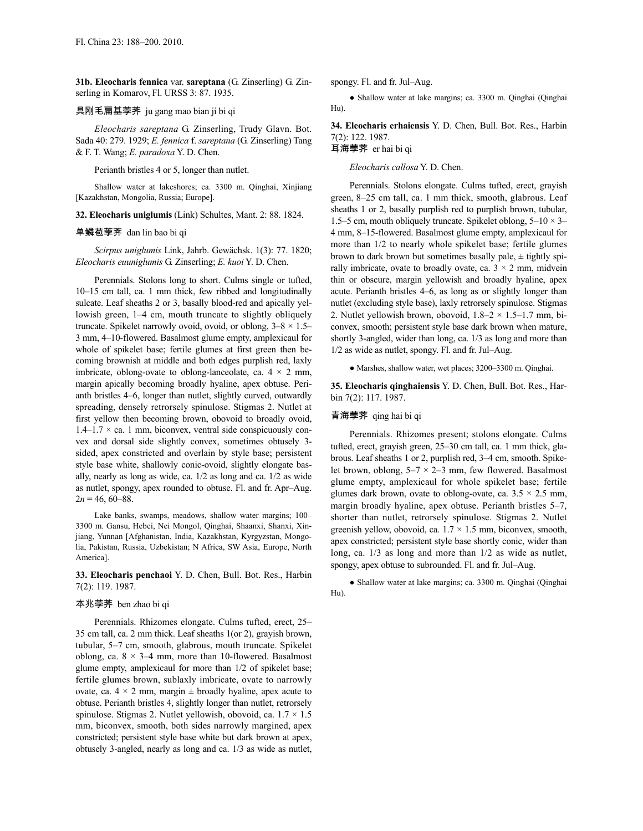**31b. Eleocharis fennica** var. **sareptana** (G. Zinserling) G. Zinserling in Komarov, Fl. URSS 3: 87. 1935.

### 具刚毛扁基荸荠 ju gang mao bian ji bi qi

*Eleocharis sareptana* G. Zinserling, Trudy Glavn. Bot. Sada 40: 279. 1929; *E. fennica* f. *sareptana* (G. Zinserling) Tang & F. T. Wang; *E. paradoxa* Y. D. Chen.

Perianth bristles 4 or 5, longer than nutlet.

Shallow water at lakeshores; ca. 3300 m. Qinghai, Xinjiang [Kazakhstan, Mongolia, Russia; Europe].

**32. Eleocharis uniglumis** (Link) Schultes, Mant. 2: 88. 1824.

### 单鳞苞荸荠 dan lin bao bi qi

*Scirpus uniglumis* Link, Jahrb. Gewächsk. 1(3): 77. 1820; *Eleocharis euuniglumis* G. Zinserling; *E. kuoi* Y. D. Chen.

Perennials. Stolons long to short. Culms single or tufted, 10–15 cm tall, ca. 1 mm thick, few ribbed and longitudinally sulcate. Leaf sheaths 2 or 3, basally blood-red and apically yellowish green, 1–4 cm, mouth truncate to slightly obliquely truncate. Spikelet narrowly ovoid, ovoid, or oblong,  $3-8 \times 1.5-$ 3 mm, 4–10-flowered. Basalmost glume empty, amplexicaul for whole of spikelet base; fertile glumes at first green then becoming brownish at middle and both edges purplish red, laxly imbricate, oblong-ovate to oblong-lanceolate, ca.  $4 \times 2$  mm, margin apically becoming broadly hyaline, apex obtuse. Perianth bristles 4–6, longer than nutlet, slightly curved, outwardly spreading, densely retrorsely spinulose. Stigmas 2. Nutlet at first yellow then becoming brown, obovoid to broadly ovoid,  $1.4-1.7 \times$  ca. 1 mm, biconvex, ventral side conspicuously convex and dorsal side slightly convex, sometimes obtusely 3 sided, apex constricted and overlain by style base; persistent style base white, shallowly conic-ovoid, slightly elongate basally, nearly as long as wide, ca. 1/2 as long and ca. 1/2 as wide as nutlet, spongy, apex rounded to obtuse. Fl. and fr. Apr–Aug.  $2n = 46, 60 - 88$ .

Lake banks, swamps, meadows, shallow water margins; 100– 3300 m. Gansu, Hebei, Nei Mongol, Qinghai, Shaanxi, Shanxi, Xinjiang, Yunnan [Afghanistan, India, Kazakhstan, Kyrgyzstan, Mongolia, Pakistan, Russia, Uzbekistan; N Africa, SW Asia, Europe, North America].

**33. Eleocharis penchaoi** Y. D. Chen, Bull. Bot. Res., Harbin 7(2): 119. 1987.

### 本兆荸荠 ben zhao bi qi

Perennials. Rhizomes elongate. Culms tufted, erect, 25– 35 cm tall, ca. 2 mm thick. Leaf sheaths 1(or 2), grayish brown, tubular, 5–7 cm, smooth, glabrous, mouth truncate. Spikelet oblong, ca.  $8 \times 3-4$  mm, more than 10-flowered. Basalmost glume empty, amplexicaul for more than 1/2 of spikelet base; fertile glumes brown, sublaxly imbricate, ovate to narrowly ovate, ca.  $4 \times 2$  mm, margin  $\pm$  broadly hyaline, apex acute to obtuse. Perianth bristles 4, slightly longer than nutlet, retrorsely spinulose. Stigmas 2. Nutlet yellowish, obovoid, ca.  $1.7 \times 1.5$ mm, biconvex, smooth, both sides narrowly margined, apex constricted; persistent style base white but dark brown at apex, obtusely 3-angled, nearly as long and ca. 1/3 as wide as nutlet, spongy. Fl. and fr. Jul–Aug.

● Shallow water at lake margins; ca. 3300 m. Qinghai (Qinghai Hu).

**34. Eleocharis erhaiensis** Y. D. Chen, Bull. Bot. Res., Harbin 7(2): 122. 1987.

# 耳海荸荠 er hai bi qi

*Eleocharis callosa* Y. D. Chen.

Perennials. Stolons elongate. Culms tufted, erect, grayish green, 8–25 cm tall, ca. 1 mm thick, smooth, glabrous. Leaf sheaths 1 or 2, basally purplish red to purplish brown, tubular, 1.5–5 cm, mouth obliquely truncate. Spikelet oblong,  $5-10 \times 3-$ 4 mm, 8–15-flowered. Basalmost glume empty, amplexicaul for more than 1/2 to nearly whole spikelet base; fertile glumes brown to dark brown but sometimes basally pale,  $\pm$  tightly spirally imbricate, ovate to broadly ovate, ca.  $3 \times 2$  mm, midvein thin or obscure, margin yellowish and broadly hyaline, apex acute. Perianth bristles 4–6, as long as or slightly longer than nutlet (excluding style base), laxly retrorsely spinulose. Stigmas 2. Nutlet yellowish brown, obovoid,  $1.8-2 \times 1.5-1.7$  mm, biconvex, smooth; persistent style base dark brown when mature, shortly 3-angled, wider than long, ca. 1/3 as long and more than 1/2 as wide as nutlet, spongy. Fl. and fr. Jul–Aug.

● Marshes, shallow water, wet places; 3200–3300 m. Qinghai.

**35. Eleocharis qinghaiensis** Y. D. Chen, Bull. Bot. Res., Harbin 7(2): 117. 1987.

### 青海荸荠 qing hai bi qi

Perennials. Rhizomes present; stolons elongate. Culms tufted, erect, grayish green, 25–30 cm tall, ca. 1 mm thick, glabrous. Leaf sheaths 1 or 2, purplish red, 3–4 cm, smooth. Spikelet brown, oblong,  $5-7 \times 2-3$  mm, few flowered. Basalmost glume empty, amplexicaul for whole spikelet base; fertile glumes dark brown, ovate to oblong-ovate, ca.  $3.5 \times 2.5$  mm, margin broadly hyaline, apex obtuse. Perianth bristles 5–7, shorter than nutlet, retrorsely spinulose. Stigmas 2. Nutlet greenish yellow, obovoid, ca.  $1.7 \times 1.5$  mm, biconvex, smooth, apex constricted; persistent style base shortly conic, wider than long, ca. 1/3 as long and more than 1/2 as wide as nutlet, spongy, apex obtuse to subrounded. Fl. and fr. Jul–Aug.

● Shallow water at lake margins; ca. 3300 m. Qinghai (Qinghai Hu).